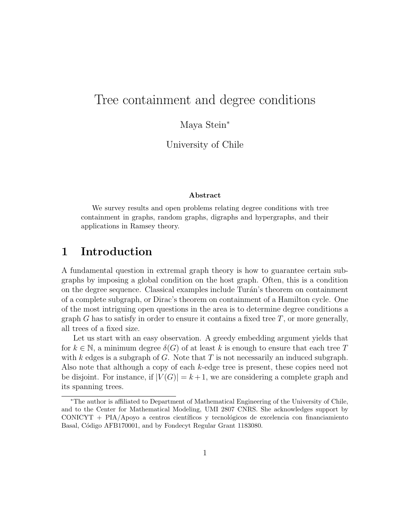# Tree containment and degree conditions

Maya Stein<sup>∗</sup>

University of Chile

#### Abstract

We survey results and open problems relating degree conditions with tree containment in graphs, random graphs, digraphs and hypergraphs, and their applications in Ramsey theory.

# 1 Introduction

A fundamental question in extremal graph theory is how to guarantee certain subgraphs by imposing a global condition on the host graph. Often, this is a condition on the degree sequence. Classical examples include Tur´an's theorem on containment of a complete subgraph, or Dirac's theorem on containment of a Hamilton cycle. One of the most intriguing open questions in the area is to determine degree conditions a graph G has to satisfy in order to ensure it contains a fixed tree  $T$ , or more generally, all trees of a fixed size.

Let us start with an easy observation. A greedy embedding argument yields that for  $k \in \mathbb{N}$ , a minimum degree  $\delta(G)$  of at least k is enough to ensure that each tree T with k edges is a subgraph of  $G$ . Note that  $T$  is not necessarily an induced subgraph. Also note that although a copy of each k-edge tree is present, these copies need not be disjoint. For instance, if  $|V(G)| = k+1$ , we are considering a complete graph and its spanning trees.

<sup>∗</sup>The author is affiliated to Department of Mathematical Engineering of the University of Chile, and to the Center for Mathematical Modeling, UMI 2807 CNRS. She acknowledges support by  $CONICYT + PIA/Apoyo$  a centros científicos y tecnológicos de excelencia con financiamiento Basal, Código AFB170001, and by Fondecyt Regular Grant 1183080.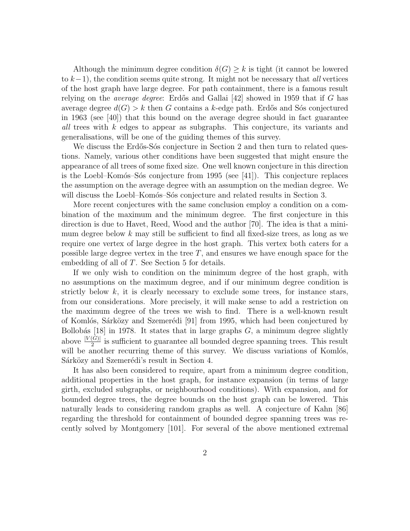Although the minimum degree condition  $\delta(G) \geq k$  is tight (it cannot be lowered to  $k-1$ ), the condition seems quite strong. It might not be necessary that *all* vertices of the host graph have large degree. For path containment, there is a famous result relying on the *average degree*: Erdős and Gallai  $|42|$  showed in 1959 that if G has average degree  $d(G) > k$  then G contains a k-edge path. Erdős and Sós conjectured in 1963 (see [40]) that this bound on the average degree should in fact guarantee all trees with k edges to appear as subgraphs. This conjecture, its variants and generalisations, will be one of the guiding themes of this survey.

We discuss the Erdős-Sós conjecture in Section 2 and then turn to related questions. Namely, various other conditions have been suggested that might ensure the appearance of all trees of some fixed size. One well known conjecture in this direction is the Loebl–Komós–Sós conjecture from 1995 (see  $[41]$ ). This conjecture replaces the assumption on the average degree with an assumption on the median degree. We will discuss the Loebl–Komós–Sós conjecture and related results in Section 3.

More recent conjectures with the same conclusion employ a condition on a combination of the maximum and the minimum degree. The first conjecture in this direction is due to Havet, Reed, Wood and the author [70]. The idea is that a minimum degree below  $k$  may still be sufficient to find all fixed-size trees, as long as we require one vertex of large degree in the host graph. This vertex both caters for a possible large degree vertex in the tree  $T$ , and ensures we have enough space for the embedding of all of T. See Section 5 for details.

If we only wish to condition on the minimum degree of the host graph, with no assumptions on the maximum degree, and if our minimum degree condition is strictly below  $k$ , it is clearly necessary to exclude some trees, for instance stars, from our considerations. More precisely, it will make sense to add a restriction on the maximum degree of the trees we wish to find. There is a well-known result of Komlós, Sárközy and Szemerédi [91] from 1995, which had been conjectured by Bollobás [18] in 1978. It states that in large graphs  $G$ , a minimum degree slightly above  $\frac{|V(G)|}{2}$  is sufficient to guarantee all bounded degree spanning trees. This result will be another recurring theme of this survey. We discuss variations of Komlós, Sárközy and Szemerédi's result in Section 4.

It has also been considered to require, apart from a minimum degree condition, additional properties in the host graph, for instance expansion (in terms of large girth, excluded subgraphs, or neighbourhood conditions). With expansion, and for bounded degree trees, the degree bounds on the host graph can be lowered. This naturally leads to considering random graphs as well. A conjecture of Kahn [86] regarding the threshold for containment of bounded degree spanning trees was recently solved by Montgomery [101]. For several of the above mentioned extremal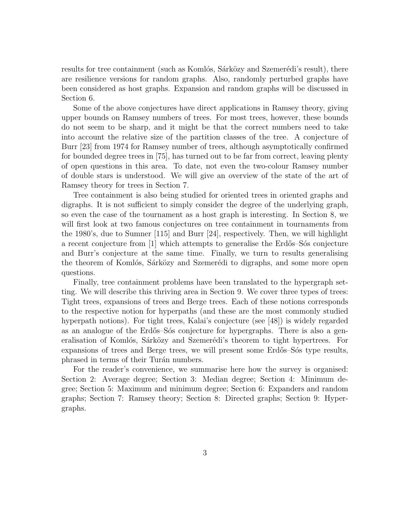results for tree containment (such as Komlós, Sárközy and Szemerédi's result), there are resilience versions for random graphs. Also, randomly perturbed graphs have been considered as host graphs. Expansion and random graphs will be discussed in Section 6.

Some of the above conjectures have direct applications in Ramsey theory, giving upper bounds on Ramsey numbers of trees. For most trees, however, these bounds do not seem to be sharp, and it might be that the correct numbers need to take into account the relative size of the partition classes of the tree. A conjecture of Burr [23] from 1974 for Ramsey number of trees, although asymptotically confirmed for bounded degree trees in [75], has turned out to be far from correct, leaving plenty of open questions in this area. To date, not even the two-colour Ramsey number of double stars is understood. We will give an overview of the state of the art of Ramsey theory for trees in Section 7.

Tree containment is also being studied for oriented trees in oriented graphs and digraphs. It is not sufficient to simply consider the degree of the underlying graph, so even the case of the tournament as a host graph is interesting. In Section 8, we will first look at two famous conjectures on tree containment in tournaments from the 1980's, due to Sumner [115] and Burr [24], respectively. Then, we will highlight a recent conjecture from  $\left|1\right|$  which attempts to generalise the Erdős–Sós conjecture and Burr's conjecture at the same time. Finally, we turn to results generalising the theorem of Komlós, Sárközy and Szemerédi to digraphs, and some more open questions.

Finally, tree containment problems have been translated to the hypergraph setting. We will describe this thriving area in Section 9. We cover three types of trees: Tight trees, expansions of trees and Berge trees. Each of these notions corresponds to the respective notion for hyperpaths (and these are the most commonly studied hyperpath notions). For tight trees, Kalai's conjecture (see [48]) is widely regarded as an analogue of the Erdős–Sós conjecture for hypergraphs. There is also a generalisation of Komlós, Sárközy and Szemerédi's theorem to tight hypertrees. For expansions of trees and Berge trees, we will present some Erdős–Sós type results, phrased in terms of their Turan numbers.

For the reader's convenience, we summarise here how the survey is organised: Section 2: Average degree; Section 3: Median degree; Section 4: Minimum degree; Section 5: Maximum and minimum degree; Section 6: Expanders and random graphs; Section 7: Ramsey theory; Section 8: Directed graphs; Section 9: Hypergraphs.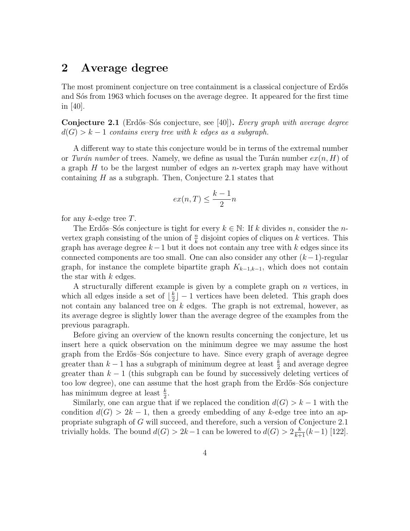# 2 Average degree

The most prominent conjecture on tree containment is a classical conjecture of Erdős and S<sub>o</sub>'s from 1963 which focuses on the average degree. It appeared for the first time in [40].

Conjecture 2.1 (Erdős–Sós conjecture, see [40]). Every graph with average degree  $d(G) > k - 1$  contains every tree with k edges as a subgraph.

A different way to state this conjecture would be in terms of the extremal number or Turán number of trees. Namely, we define as usual the Turán number  $ex(n, H)$  of a graph  $H$  to be the largest number of edges an *n*-vertex graph may have without containing  $H$  as a subgraph. Then, Conjecture 2.1 states that

$$
ex(n,T) \le \frac{k-1}{2}n
$$

for any  $k$ -edge tree  $T$ .

The Erdős–Sós conjecture is tight for every  $k \in \mathbb{N}$ : If k divides n, consider the nvertex graph consisting of the union of  $\frac{n}{k}$  disjoint copies of cliques on k vertices. This graph has average degree  $k-1$  but it does not contain any tree with k edges since its connected components are too small. One can also consider any other  $(k-1)$ -regular graph, for instance the complete bipartite graph  $K_{k-1,k-1}$ , which does not contain the star with  $k$  edges.

A structurally different example is given by a complete graph on  $n$  vertices, in which all edges inside a set of  $\frac{k}{2}$  $\frac{k}{2}$ ] – 1 vertices have been deleted. This graph does not contain any balanced tree on k edges. The graph is not extremal, however, as its average degree is slightly lower than the average degree of the examples from the previous paragraph.

Before giving an overview of the known results concerning the conjecture, let us insert here a quick observation on the minimum degree we may assume the host graph from the Erdős–Sós conjecture to have. Since every graph of average degree greater than  $k-1$  has a subgraph of minimum degree at least  $\frac{k}{2}$  and average degree greater than  $k-1$  (this subgraph can be found by successively deleting vertices of too low degree), one can assume that the host graph from the Erdős–Sós conjecture has minimum degree at least  $\frac{k}{2}$ .

Similarly, one can argue that if we replaced the condition  $d(G) > k - 1$  with the condition  $d(G) > 2k - 1$ , then a greedy embedding of any k-edge tree into an appropriate subgraph of G will succeed, and therefore, such a version of Conjecture 2.1 trivially holds. The bound  $d(G) > 2k - 1$  can be lowered to  $d(G) > 2\frac{k}{k+1}(k-1)$  [122].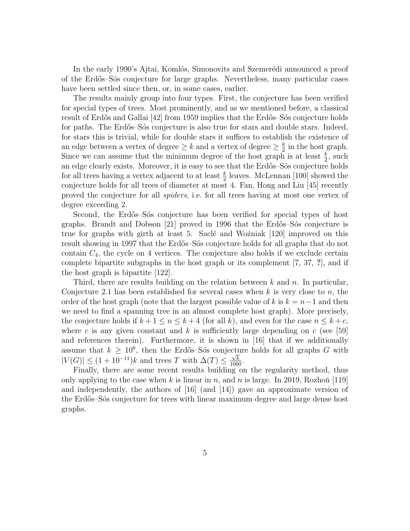In the early 1990's Ajtai, Komlós, Simonovits and Szemerédi announced a proof of the Erd˝os–S´os conjecture for large graphs. Nevertheless, many particular cases have been settled since then, or, in some cases, earlier.

The results mainly group into four types. First, the conjecture has been verified for special types of trees. Most prominently, and as we mentioned before, a classical result of Erdős and Gallai [42] from 1959 implies that the Erdős–Sós conjecture holds for paths. The Erdős–Sós conjecture is also true for stars and double stars. Indeed, for stars this is trivial, while for double stars it suffices to establish the existence of an edge between a vertex of degree  $\geq k$  and a vertex of degree  $\geq \frac{k}{2}$  $\frac{k}{2}$  in the host graph. Since we can assume that the minimum degree of the host graph is at least  $\frac{k}{2}$ , such an edge clearly exists. Moreover, it is easy to see that the Erdős–Sós conjecture holds for all trees having a vertex adjacent to at least  $\frac{k}{2}$  leaves. McLennan [100] showed the conjecture holds for all trees of diameter at most 4. Fan, Hong and Liu [45] recently proved the conjecture for all spiders, i.e. for all trees having at most one vertex of degree exceeding 2.

Second, the Erdős–Sós conjecture has been verified for special types of host graphs. Brandt and Dobson [21] proved in 1996 that the Erdős–Sós conjecture is true for graphs with girth at least 5. Saclé and Wo $\zeta$ niak [120] improved on this result showing in 1997 that the Erdős–Sós conjecture holds for all graphs that do not contain  $C_4$ , the cycle on 4 vertices. The conjecture also holds if we exclude certain complete bipartite subgraphs in the host graph or its complement [7, 37, ?], and if the host graph is bipartite [122].

Third, there are results building on the relation between  $k$  and  $n$ . In particular, Conjecture 2.1 has been established for several cases when  $k$  is very close to  $n$ , the order of the host graph (note that the largest possible value of k is  $k = n-1$  and then we need to find a spanning tree in an almost complete host graph). More precisely, the conjecture holds if  $k + 1 \le n \le k + 4$  (for all k), and even for the case  $n \le k + c$ , where c is any given constant and k is sufficiently large depending on  $c$  (see [59] and references therein). Furthermore, it is shown in [16] that if we additionally assume that  $k \geq 10^6$ , then the Erdős–Sós conjecture holds for all graphs G with  $|V(G)| \leq (1 + 10^{-11})k$  and trees T with  $\Delta(T) \leq \frac{\sqrt{k}}{1000}$ .

Finally, there are some recent results building on the regularity method, thus only applying to the case when k is linear in n, and n is large. In 2019, Rozhoň [119] and independently, the authors of  $[16]$  (and  $[14]$ ) gave an approximate version of the Erdős–Sós conjecture for trees with linear maximum degree and large dense host graphs.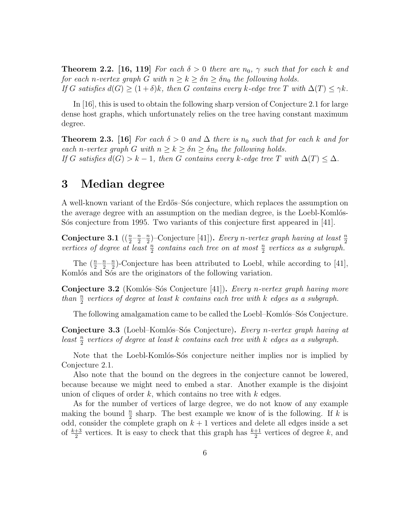**Theorem 2.2.** [16, 119] For each  $\delta > 0$  there are  $n_0$ ,  $\gamma$  such that for each k and for each n-vertex graph G with  $n \geq k \geq \delta n \geq \delta n_0$  the following holds. If G satisfies  $d(G) \ge (1+\delta)k$ , then G contains every k-edge tree T with  $\Delta(T) \le \gamma k$ .

In [16], this is used to obtain the following sharp version of Conjecture 2.1 for large dense host graphs, which unfortunately relies on the tree having constant maximum degree.

**Theorem 2.3.** [16] For each  $\delta > 0$  and  $\Delta$  there is  $n_0$  such that for each k and for each n-vertex graph G with  $n \geq k \geq \delta n \geq \delta n_0$  the following holds. If G satisfies  $d(G) > k - 1$ , then G contains every k-edge tree T with  $\Delta(T) \leq \Delta$ .

## 3 Median degree

A well-known variant of the Erd˝os–S´os conjecture, which replaces the assumption on the average degree with an assumption on the median degree, is the Loebl-Komlós-S<sup>os</sup> conjecture from 1995. Two variants of this conjecture first appeared in [41].

Conjecture 3.1  $\left(\left(\frac{n}{2} - \frac{n}{2}\right)\right)$  $\frac{n}{2}$ - $\frac{n}{2}$  $\frac{n}{2}$ )–Conjecture [41]). Every n-vertex graph having at least  $\frac{n}{2}$ vertices of degree at least  $\frac{n}{2}$  contains each tree on at most  $\frac{n}{2}$  vertices as a subgraph.

The  $\left(\frac{n}{2} - \frac{n}{2}\right)$  $\frac{n}{2} - \frac{n}{2}$  $\frac{n}{2}$ )-Conjecture has been attributed to Loebl, while according to [41], Komlós and Sós are the originators of the following variation.

**Conjecture 3.2** (Komlós–Sós Conjecture [41]). Every n-vertex graph having more than  $\frac{n}{2}$  vertices of degree at least k contains each tree with k edges as a subgraph.

The following amalgamation came to be called the Loebl–Komlós–Sós Conjecture.

Conjecture 3.3 (Loebl–Komlós–Sós Conjecture). Every n-vertex graph having at least  $\frac{n}{2}$  vertices of degree at least k contains each tree with k edges as a subgraph.

Note that the Loebl-Komlós-Sós conjecture neither implies nor is implied by Conjecture 2.1.

Also note that the bound on the degrees in the conjecture cannot be lowered, because because we might need to embed a star. Another example is the disjoint union of cliques of order  $k$ , which contains no tree with  $k$  edges.

As for the number of vertices of large degree, we do not know of any example making the bound  $\frac{n}{2}$  sharp. The best example we know of is the following. If k is odd, consider the complete graph on  $k + 1$  vertices and delete all edges inside a set of  $\frac{k+3}{2}$  vertices. It is easy to check that this graph has  $\frac{k+1}{2}$  vertices of degree k, and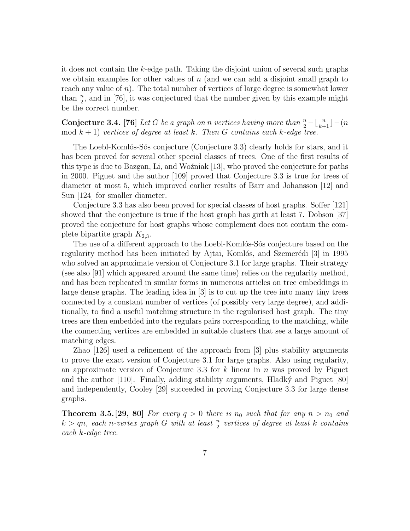it does not contain the k-edge path. Taking the disjoint union of several such graphs we obtain examples for other values of  $n$  (and we can add a disjoint small graph to reach any value of  $n$ ). The total number of vertices of large degree is somewhat lower than  $\frac{n}{2}$ , and in [76], it was conjectured that the number given by this example might be the correct number.

**Conjecture 3.4.** [76] Let G be a graph on n vertices having more than  $\frac{n}{2} - \lfloor \frac{n}{k+1} \rfloor - (n)$ mod  $k + 1$ ) vertices of degree at least k. Then G contains each k-edge tree.

The Loebl-Komlós-Sós conjecture (Conjecture 3.3) clearly holds for stars, and it has been proved for several other special classes of trees. One of the first results of this type is due to Bazgan, Li, and Wozniak  $[13]$ , who proved the conjecture for paths in 2000. Piguet and the author [109] proved that Conjecture 3.3 is true for trees of diameter at most 5, which improved earlier results of Barr and Johansson [12] and Sun [124] for smaller diameter.

Conjecture 3.3 has also been proved for special classes of host graphs. Soffer [121] showed that the conjecture is true if the host graph has girth at least 7. Dobson [37] proved the conjecture for host graphs whose complement does not contain the complete bipartite graph  $K_{2,3}$ .

The use of a different approach to the Loebl-Komlós-Sós conjecture based on the regularity method has been initiated by Ajtai, Komlós, and Szemerédi [3] in 1995 who solved an approximate version of Conjecture 3.1 for large graphs. Their strategy (see also [91] which appeared around the same time) relies on the regularity method, and has been replicated in similar forms in numerous articles on tree embeddings in large dense graphs. The leading idea in [3] is to cut up the tree into many tiny trees connected by a constant number of vertices (of possibly very large degree), and additionally, to find a useful matching structure in the regularised host graph. The tiny trees are then embedded into the regulars pairs corresponding to the matching, while the connecting vertices are embedded in suitable clusters that see a large amount of matching edges.

Zhao [126] used a refinement of the approach from [3] plus stability arguments to prove the exact version of Conjecture 3.1 for large graphs. Also using regularity, an approximate version of Conjecture 3.3 for  $k$  linear in  $n$  was proved by Piguet and the author  $[110]$ . Finally, adding stability arguments, Hladký and Piguet  $[80]$ and independently, Cooley [29] succeeded in proving Conjecture 3.3 for large dense graphs.

**Theorem 3.5.** [29, 80] For every  $q > 0$  there is  $n_0$  such that for any  $n > n_0$  and  $k > qn$ , each n-vertex graph G with at least  $\frac{n}{2}$  vertices of degree at least k contains each k-edge tree.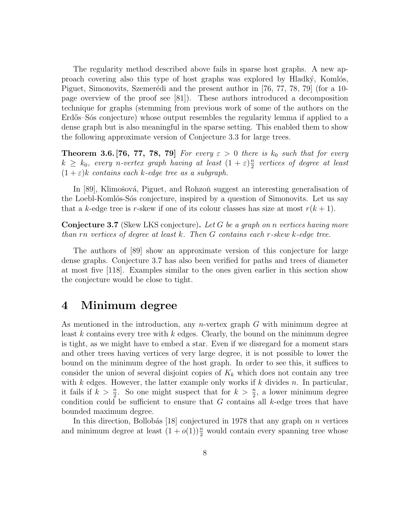The regularity method described above fails in sparse host graphs. A new approach covering also this type of host graphs was explored by Hladký, Komlós, Piguet, Simonovits, Szemerédi and the present author in  $[76, 77, 78, 79]$  (for a 10page overview of the proof see [81]). These authors introduced a decomposition technique for graphs (stemming from previous work of some of the authors on the Erdős–Sós conjecture) whose output resembles the regularity lemma if applied to a dense graph but is also meaningful in the sparse setting. This enabled them to show the following approximate version of Conjecture 3.3 for large trees.

**Theorem 3.6.** [76, 77, 78, 79] For every  $\varepsilon > 0$  there is  $k_0$  such that for every  $k \geq k_0$ , every n-vertex graph having at least  $(1 + \varepsilon) \frac{n}{2}$  $\frac{n}{2}$  vertices of degree at least  $(1 + \varepsilon)$ k contains each k-edge tree as a subgraph.

In [89], Klimošová, Piguet, and Rohzoň suggest an interesting generalisation of the Loebl-Komlós-Sós conjecture, inspired by a question of Simonovits. Let us say that a k-edge tree is r-skew if one of its colour classes has size at most  $r(k + 1)$ .

**Conjecture 3.7** (Skew LKS conjecture). Let G be a graph on n vertices having more than rn vertices of degree at least  $k$ . Then  $G$  contains each r-skew  $k$ -edge tree.

The authors of [89] show an approximate version of this conjecture for large dense graphs. Conjecture 3.7 has also been verified for paths and trees of diameter at most five [118]. Examples similar to the ones given earlier in this section show the conjecture would be close to tight.

# 4 Minimum degree

As mentioned in the introduction, any *n*-vertex graph  $G$  with minimum degree at least k contains every tree with k edges. Clearly, the bound on the minimum degree is tight, as we might have to embed a star. Even if we disregard for a moment stars and other trees having vertices of very large degree, it is not possible to lower the bound on the minimum degree of the host graph. In order to see this, it suffices to consider the union of several disjoint copies of  $K_k$  which does not contain any tree with k edges. However, the latter example only works if k divides n. In particular, it fails if  $k > \frac{n}{2}$ . So one might suspect that for  $k > \frac{n}{2}$ , a lower minimum degree condition could be sufficient to ensure that  $G$  contains all  $k$ -edge trees that have bounded maximum degree.

In this direction, Bollobás [18] conjectured in 1978 that any graph on  $n$  vertices and minimum degree at least  $(1+o(1))\frac{n}{2}$  would contain every spanning tree whose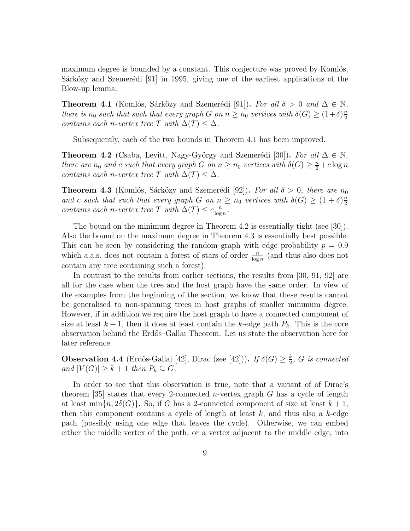maximum degree is bounded by a constant. This conjecture was proved by Komlós, Sárközy and Szemerédi  $[91]$  in 1995, giving one of the earliest applications of the Blow-up lemma.

**Theorem 4.1** (Komlós, Sárközy and Szemerédi [91]). For all  $\delta > 0$  and  $\Delta \in \mathbb{N}$ , there is  $n_0$  such that such that every graph G on  $n \geq n_0$  vertices with  $\delta(G) \geq (1+\delta)\frac{n_0}{2}$ 2 contains each n-vertex tree T with  $\Delta(T) \leq \Delta$ .

Subsequently, each of the two bounds in Theorem 4.1 has been improved.

**Theorem 4.2** (Csaba, Levitt, Nagy-György and Szemerédi [30]). For all  $\Delta \in \mathbb{N}$ , there are  $n_0$  and c such that every graph G on  $n \ge n_0$  vertices with  $\delta(G) \ge \frac{n}{2} + c \log n$ contains each n-vertex tree T with  $\Delta(T) \leq \Delta$ .

**Theorem 4.3** (Komlós, Sárközy and Szemerédi [92]). For all  $\delta > 0$ , there are  $n_0$ and c such that such that every graph G on  $n \geq n_0$  vertices with  $\delta(G) \geq (1+\delta)\frac{n}{2}$ 2 contains each n-vertex tree T with  $\Delta(T) \leq c \frac{n}{\log n}$  $\frac{n}{\log n}$ .

The bound on the minimum degree in Theorem 4.2 is essentially tight (see [30]). Also the bound on the maximum degree in Theorem 4.3 is essentially best possible. This can be seen by considering the random graph with edge probability  $p = 0.9$ which a.a.s. does not contain a forest of stars of order  $\frac{n}{\log n}$  (and thus also does not contain any tree containing such a forest).

In contrast to the results from earlier sections, the results from [30, 91, 92] are all for the case when the tree and the host graph have the same order. In view of the examples from the beginning of the section, we know that these results cannot be generalised to non-spanning trees in host graphs of smaller minimum degree. However, if in addition we require the host graph to have a connected component of size at least  $k+1$ , then it does at least contain the k-edge path  $P_k$ . This is the core observation behind the Erd˝os–Gallai Theorem. Let us state the observation here for later reference.

**Observation 4.4** (Erdős-Gallai [42], Dirac (see [42])). If  $\delta(G) \geq \frac{k}{2}$  $\frac{k}{2}$ , G is connected and  $|V(G)| \geq k+1$  then  $P_k \subseteq G$ .

In order to see that this observation is true, note that a variant of of Dirac's theorem [35] states that every 2-connected *n*-vertex graph  $G$  has a cycle of length at least min $\{n, 2\delta(G)\}\$ . So, if G has a 2-connected component of size at least  $k+1$ , then this component contains a cycle of length at least  $k$ , and thus also a  $k$ -edge path (possibly using one edge that leaves the cycle). Otherwise, we can embed either the middle vertex of the path, or a vertex adjacent to the middle edge, into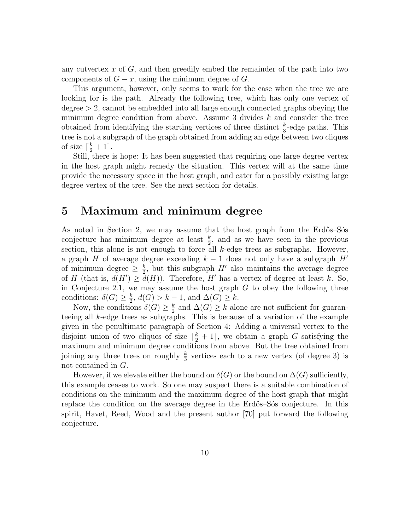any cutvertex  $x$  of  $G$ , and then greedily embed the remainder of the path into two components of  $G - x$ , using the minimum degree of G.

This argument, however, only seems to work for the case when the tree we are looking for is the path. Already the following tree, which has only one vertex of degree > 2, cannot be embedded into all large enough connected graphs obeying the minimum degree condition from above. Assume 3 divides  $k$  and consider the tree obtained from identifying the starting vertices of three distinct  $\frac{k}{3}$ -edge paths. This tree is not a subgraph of the graph obtained from adding an edge between two cliques of size  $\lceil \frac{k}{2} + 1 \rceil$ .

Still, there is hope: It has been suggested that requiring one large degree vertex in the host graph might remedy the situation. This vertex will at the same time provide the necessary space in the host graph, and cater for a possibly existing large degree vertex of the tree. See the next section for details.

## 5 Maximum and minimum degree

As noted in Section 2, we may assume that the host graph from the Erdős–Sós conjecture has minimum degree at least  $\frac{k}{2}$ , and as we have seen in the previous section, this alone is not enough to force all k-edge trees as subgraphs. However, a graph H of average degree exceeding  $k - 1$  does not only have a subgraph  $H'$ of minimum degree  $\geq \frac{k}{2}$  $\frac{k}{2}$ , but this subgraph H' also maintains the average degree of H (that is,  $d(H') \geq d(H)$ ). Therefore, H' has a vertex of degree at least k. So, in Conjecture 2.1, we may assume the host graph  $G$  to obey the following three conditions:  $\delta(G) \geq \frac{k}{2}$  $\frac{k}{2}$ ,  $d(G) > k - 1$ , and  $\Delta(G) \geq k$ .

Now, the conditions  $\delta(G) \geq \frac{k}{2}$  $\frac{k}{2}$  and  $\Delta(G) \geq k$  alone are not sufficient for guaranteeing all k-edge trees as subgraphs. This is because of a variation of the example given in the penultimate paragraph of Section 4: Adding a universal vertex to the disjoint union of two cliques of size  $\lceil \frac{k}{2} + 1 \rceil$ , we obtain a graph G satisfying the maximum and minimum degree conditions from above. But the tree obtained from joining any three trees on roughly  $\frac{k}{3}$  vertices each to a new vertex (of degree 3) is not contained in G.

However, if we elevate either the bound on  $\delta(G)$  or the bound on  $\Delta(G)$  sufficiently, this example ceases to work. So one may suspect there is a suitable combination of conditions on the minimum and the maximum degree of the host graph that might replace the condition on the average degree in the Erdős–Sós conjecture. In this spirit, Havet, Reed, Wood and the present author [70] put forward the following conjecture.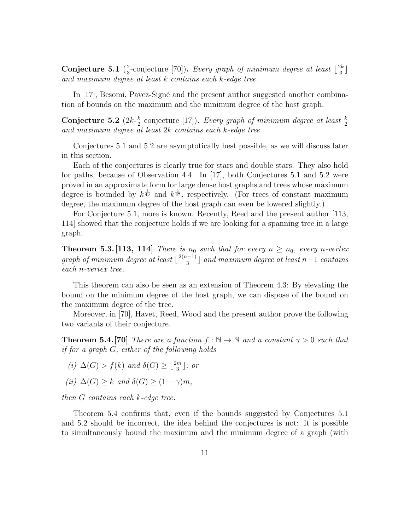Conjecture 5.1  $(\frac{2}{3})$  $\frac{2}{3}$ -conjecture [70]). Every graph of minimum degree at least  $\lfloor \frac{2k}{3} \rfloor$  $\frac{2k}{3}$ and maximum degree at least k contains each k-edge tree.

In  $[17]$ , Besomi, Pavez-Signé and the present author suggested another combination of bounds on the maximum and the minimum degree of the host graph.

Conjecture 5.2  $(2k-\frac{k}{2})$ **Conjecture 5.2** ( $2k-\frac{k}{2}$  conjecture [17]). Every graph of minimum degree at least  $\frac{k}{2}$  and maximum degree at least  $2k$  contains each k-edge tree.

Conjectures 5.1 and 5.2 are asymptotically best possible, as we will discuss later in this section.

Each of the conjectures is clearly true for stars and double stars. They also hold for paths, because of Observation 4.4. In [17], both Conjectures 5.1 and 5.2 were proved in an approximate form for large dense host graphs and trees whose maximum degree is bounded by  $k^{\frac{1}{49}}$  and  $k^{\frac{1}{67}}$ , respectively. (For trees of constant maximum degree, the maximum degree of the host graph can even be lowered slightly.)

For Conjecture 5.1, more is known. Recently, Reed and the present author [113, 114] showed that the conjecture holds if we are looking for a spanning tree in a large graph.

**Theorem 5.3.** [113, 114] There is  $n_0$  such that for every  $n \geq n_0$ , every n-vertex graph of minimum degree at least  $\frac{2(n-1)}{3}$  $\frac{a^{(n-1)}}{3}$  and maximum degree at least n−1 contains each n-vertex tree.

This theorem can also be seen as an extension of Theorem 4.3: By elevating the bound on the minimum degree of the host graph, we can dispose of the bound on the maximum degree of the tree.

Moreover, in [70], Havet, Reed, Wood and the present author prove the following two variants of their conjecture.

**Theorem 5.4.** [70] There are a function  $f : \mathbb{N} \to \mathbb{N}$  and a constant  $\gamma > 0$  such that if for a graph G, either of the following holds

- (i)  $\Delta(G) > f(k)$  and  $\delta(G) \geq \lfloor \frac{2m}{3} \rfloor$ ; or
- (ii)  $\Delta(G) \geq k$  and  $\delta(G) \geq (1 \gamma)m$ ,

then G contains each k-edge tree.

Theorem 5.4 confirms that, even if the bounds suggested by Conjectures 5.1 and 5.2 should be incorrect, the idea behind the conjectures is not: It is possible to simultaneously bound the maximum and the minimum degree of a graph (with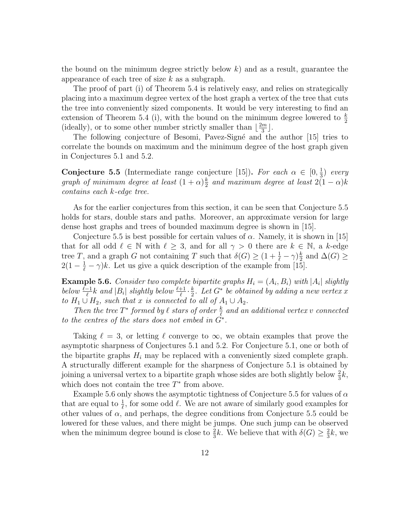the bound on the minimum degree strictly below  $k$ ) and as a result, guarantee the appearance of each tree of size  $k$  as a subgraph.

The proof of part (i) of Theorem 5.4 is relatively easy, and relies on strategically placing into a maximum degree vertex of the host graph a vertex of the tree that cuts the tree into conveniently sized components. It would be very interesting to find an extension of Theorem 5.4 (i), with the bound on the minimum degree lowered to  $\frac{k}{2}$ (ideally), or to some other number strictly smaller than  $\lfloor \frac{2m}{3} \rfloor$  $\frac{m}{3}$ .

The following conjecture of Besomi, Pavez-Signé and the author [15] tries to correlate the bounds on maximum and the minimum degree of the host graph given in Conjectures 5.1 and 5.2.

**Conjecture 5.5** (Intermediate range conjecture [15]). For each  $\alpha \in [0, \frac{1}{3}]$  $rac{1}{3}$  every graph of minimum degree at least  $(1+\alpha)\frac{k}{2}$  $\frac{k}{2}$  and maximum degree at least  $2(1-\alpha)k$ contains each k-edge tree.

As for the earlier conjectures from this section, it can be seen that Conjecture 5.5 holds for stars, double stars and paths. Moreover, an approximate version for large dense host graphs and trees of bounded maximum degree is shown in [15].

Conjecture 5.5 is best possible for certain values of  $\alpha$ . Namely, it is shown in [15] that for all odd  $\ell \in \mathbb{N}$  with  $\ell \geq 3$ , and for all  $\gamma > 0$  there are  $k \in \mathbb{N}$ , a k-edge tree T, and a graph G not containing T such that  $\delta(G) \geq (1 + \frac{1}{\ell} - \gamma)\frac{k}{2}$  $\frac{k}{2}$  and  $\Delta(G) \ge$  $2(1 - \frac{1}{\ell} - \gamma)k$ . Let us give a quick description of the example from [15].

**Example 5.6.** Consider two complete bipartite graphs  $H_i = (A_i, B_i)$  with  $|A_i|$  slightly below  $\frac{\ell-1}{\ell}$ k and  $|B_i|$  slightly below  $\frac{\ell+1}{\ell} \cdot \frac{k}{2}$  $\frac{k}{2}$ . Let  $G^*$  be obtained by adding a new vertex x to  $H_1 \cup H_2$ , such that x is connected to all of  $A_1 \cup A_2$ .

Then the tree  $T^*$  formed by  $\ell$  stars of order  $\frac{k}{\ell}$  and an additional vertex v connected to the centres of the stars does not embed in  $G^*$ .

Taking  $\ell = 3$ , or letting  $\ell$  converge to  $\infty$ , we obtain examples that prove the asymptotic sharpness of Conjectures 5.1 and 5.2. For Conjecture 5.1, one or both of the bipartite graphs  $H_i$  may be replaced with a conveniently sized complete graph. A structurally different example for the sharpness of Conjecture 5.1 is obtained by joining a universal vertex to a bipartite graph whose sides are both slightly below  $\frac{2}{3}k$ , which does not contain the tree  $T^*$  from above.

Example 5.6 only shows the asymptotic tightness of Conjecture 5.5 for values of  $\alpha$ that are equal to  $\frac{1}{\ell}$ , for some odd  $\ell$ . We are not aware of similarly good examples for other values of  $\alpha$ , and perhaps, the degree conditions from Conjecture 5.5 could be lowered for these values, and there might be jumps. One such jump can be observed when the minimum degree bound is close to  $\frac{2}{3}k$ . We believe that with  $\delta(G) \geq \frac{2}{3}$  $\frac{2}{3}k$ , we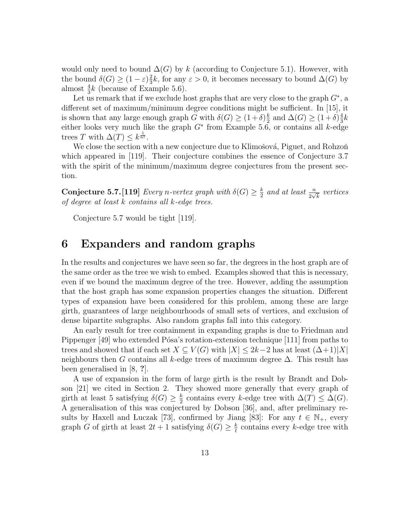would only need to bound  $\Delta(G)$  by k (according to Conjecture 5.1). However, with the bound  $\delta(G) \geq (1-\varepsilon)^{\frac{2}{3}}$  $\frac{2}{3}k$ , for any  $\varepsilon > 0$ , it becomes necessary to bound  $\Delta(G)$  by almost  $\frac{4}{3}k$  (because of Example 5.6).

Let us remark that if we exclude host graphs that are very close to the graph  $G^*$ , a different set of maximum/minimum degree conditions might be sufficient. In [15], it is shown that any large enough graph G with  $\delta(G) \geq (1+\delta)^{\frac{k}{2}}$  $\frac{k}{2}$  and  $\Delta(G) \geq (1+\delta)\frac{4}{3}$  $\frac{4}{3}k$ either looks very much like the graph  $G^*$  from Example 5.6, or contains all k-edge trees T with  $\Delta(T) \leq k^{\frac{1}{67}}$ .

We close the section with a new conjecture due to Klimošová, Piguet, and Rohzoň which appeared in [119]. Their conjecture combines the essence of Conjecture 3.7 with the spirit of the minimum/maximum degree conjectures from the present section.

**Conjecture 5.7.** [119] *Every n-vertex graph with*  $\delta(G) \geq \frac{k}{2}$  $\frac{k}{2}$  and at least  $\frac{n}{2\sqrt{k}}$  vertices of degree at least k contains all k-edge trees.

Conjecture 5.7 would be tight [119].

# 6 Expanders and random graphs

In the results and conjectures we have seen so far, the degrees in the host graph are of the same order as the tree we wish to embed. Examples showed that this is necessary, even if we bound the maximum degree of the tree. However, adding the assumption that the host graph has some expansion properties changes the situation. Different types of expansion have been considered for this problem, among these are large girth, guarantees of large neighbourhoods of small sets of vertices, and exclusion of dense bipartite subgraphs. Also random graphs fall into this category.

An early result for tree containment in expanding graphs is due to Friedman and Pippenger  $[49]$  who extended Pósa's rotation-extension technique  $[111]$  from paths to trees and showed that if each set  $X \subseteq V(G)$  with  $|X| \leq 2k-2$  has at least  $(\Delta+1)|X|$ neighbours then G contains all k-edge trees of maximum degree  $\Delta$ . This result has been generalised in [8, ?].

A use of expansion in the form of large girth is the result by Brandt and Dobson [21] we cited in Section 2. They showed more generally that every graph of girth at least 5 satisfying  $\delta(G) \geq \frac{k}{2}$  $\frac{k}{2}$  contains every k-edge tree with  $\Delta(T) \leq \Delta(G)$ . A generalisation of this was conjectured by Dobson [36], and, after preliminary results by Haxell and Luczak [73], confirmed by Jiang [83]: For any  $t \in \mathbb{N}_+$ , every graph G of girth at least  $2t + 1$  satisfying  $\delta(G) \geq \frac{k}{t}$  $\frac{k}{t}$  contains every *k*-edge tree with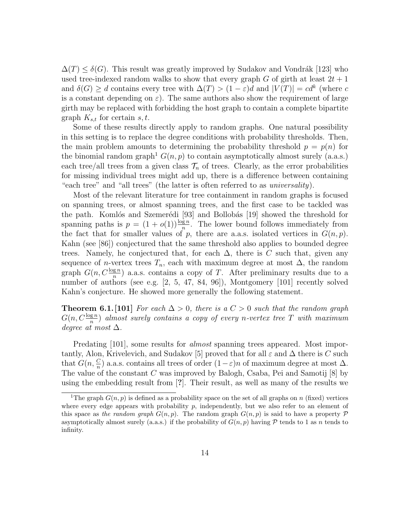$\Delta(T) \leq \delta(G)$ . This result was greatly improved by Sudakov and Vondrák [123] who used tree-indexed random walks to show that every graph G of girth at least  $2t + 1$ and  $\delta(G) \geq d$  contains every tree with  $\Delta(T) > (1 - \varepsilon)d$  and  $|V(T)| = cd^k$  (where c is a constant depending on  $\varepsilon$ ). The same authors also show the requirement of large girth may be replaced with forbidding the host graph to contain a complete bipartite graph  $K_{s,t}$  for certain s, t.

Some of these results directly apply to random graphs. One natural possibility in this setting is to replace the degree conditions with probability thresholds. Then, the main problem amounts to determining the probability threshold  $p = p(n)$  for the binomial random graph<sup>1</sup>  $G(n, p)$  to contain asymptotically almost surely (a.a.s.) each tree/all trees from a given class  $\mathcal{T}_n$  of trees. Clearly, as the error probabilities for missing individual trees might add up, there is a difference between containing "each tree" and "all trees" (the latter is often referred to as universality).

Most of the relevant literature for tree containment in random graphs is focused on spanning trees, or almost spanning trees, and the first case to be tackled was the path. Komlós and Szemerédi  $[93]$  and Bollobás  $[19]$  showed the threshold for spanning paths is  $p = (1 + o(1))\frac{\log n}{n}$ . The lower bound follows immediately from the fact that for smaller values of p, there are a.a.s. isolated vertices in  $G(n, p)$ . Kahn (see [86]) conjectured that the same threshold also applies to bounded degree trees. Namely, he conjectured that, for each  $\Delta$ , there is C such that, given any sequence of n-vertex trees  $T_n$ , each with maximum degree at most  $\Delta$ , the random graph  $G(n, C^{\frac{\log n}{n}})$  a.a.s. contains a copy of T. After preliminary results due to a number of authors (see e.g. [2, 5, 47, 84, 96]), Montgomery [101] recently solved Kahn's conjecture. He showed more generally the following statement.

**Theorem 6.1.** [101] For each  $\Delta > 0$ , there is a  $C > 0$  such that the random graph  $G(n, C \frac{\log n}{n})$  almost surely contains a copy of every n-vertex tree T with maximum degree at most  $\Delta$ .

Predating [101], some results for *almost* spanning trees appeared. Most importantly, Alon, Krivelevich, and Sudakov [5] proved that for all  $\varepsilon$  and  $\Delta$  there is C such that  $G(n, \frac{C}{n})$  a.a.s. contains all trees of order  $(1 - \varepsilon)n$  of maximum degree at most  $\Delta$ . The value of the constant  $C$  was improved by Balogh, Csaba, Pei and Samotij  $[8]$  by using the embedding result from [?]. Their result, as well as many of the results we

<sup>&</sup>lt;sup>1</sup>The graph  $G(n, p)$  is defined as a probability space on the set of all graphs on n (fixed) vertices where every edge appears with probability  $p$ , independently, but we also refer to an element of this space as the random graph  $G(n, p)$ . The random graph  $G(n, p)$  is said to have a property P asymptotically almost surely (a.a.s.) if the probability of  $G(n, p)$  having P tends to 1 as n tends to infinity.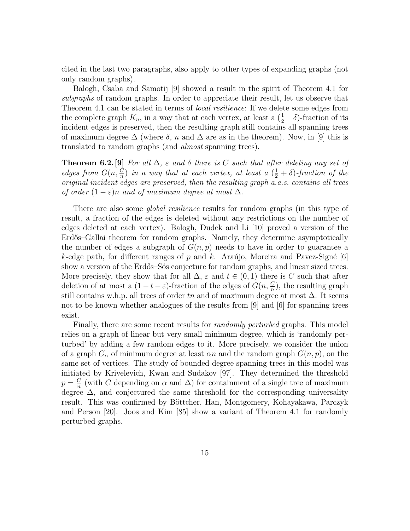cited in the last two paragraphs, also apply to other types of expanding graphs (not only random graphs).

Balogh, Csaba and Samotij [9] showed a result in the spirit of Theorem 4.1 for subgraphs of random graphs. In order to appreciate their result, let us observe that Theorem 4.1 can be stated in terms of *local resilience*: If we delete some edges from the complete graph  $K_n$ , in a way that at each vertex, at least a  $(\frac{1}{2} + \delta)$ -fraction of its incident edges is preserved, then the resulting graph still contains all spanning trees of maximum degree  $\Delta$  (where  $\delta$ , n and  $\Delta$  are as in the theorem). Now, in [9] this is translated to random graphs (and almost spanning trees).

**Theorem 6.2.** [9] For all  $\Delta$ ,  $\varepsilon$  and  $\delta$  there is C such that after deleting any set of edges from  $G(n, \frac{C}{n})$  in a way that at each vertex, at least a  $(\frac{1}{2} + \delta)$ -fraction of the original incident edges are preserved, then the resulting graph a.a.s. contains all trees of order  $(1 - \varepsilon)n$  and of maximum degree at most  $\Delta$ .

There are also some *global resilience* results for random graphs (in this type of result, a fraction of the edges is deleted without any restrictions on the number of edges deleted at each vertex). Balogh, Dudek and Li [10] proved a version of the Erdős–Gallai theorem for random graphs. Namely, they determine asymptotically the number of edges a subgraph of  $G(n, p)$  needs to have in order to guarantee a k-edge path, for different ranges of p and k. Araújo, Moreira and Pavez-Signé [6] show a version of the Erdős–Sós conjecture for random graphs, and linear sized trees. More precisely, they show that for all  $\Delta$ ,  $\varepsilon$  and  $t \in (0,1)$  there is C such that after deletion of at most a  $(1-t-\varepsilon)$ -fraction of the edges of  $G(n, \frac{C}{n})$ , the resulting graph still contains w.h.p. all trees of order tn and of maximum degree at most  $\Delta$ . It seems not to be known whether analogues of the results from [9] and [6] for spanning trees exist.

Finally, there are some recent results for *randomly perturbed* graphs. This model relies on a graph of linear but very small minimum degree, which is 'randomly perturbed' by adding a few random edges to it. More precisely, we consider the union of a graph  $G_{\alpha}$  of minimum degree at least  $\alpha n$  and the random graph  $G(n, p)$ , on the same set of vertices. The study of bounded degree spanning trees in this model was initiated by Krivelevich, Kwan and Sudakov [97]. They determined the threshold  $p = \frac{C}{n}$  $\frac{C}{n}$  (with C depending on  $\alpha$  and  $\Delta$ ) for containment of a single tree of maximum degree  $\Delta$ , and conjectured the same threshold for the corresponding universality result. This was confirmed by Böttcher, Han, Montgomery, Kohayakawa, Parczyk and Person [20]. Joos and Kim [85] show a variant of Theorem 4.1 for randomly perturbed graphs.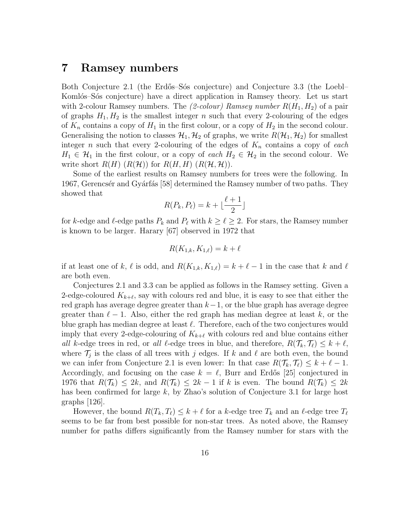## 7 Ramsey numbers

Both Conjecture 2.1 (the Erdős–Sós conjecture) and Conjecture 3.3 (the Loebl– Komlós–Sós conjecture) have a direct application in Ramsey theory. Let us start with 2-colour Ramsey numbers. The (2-colour) Ramsey number  $R(H_1, H_2)$  of a pair of graphs  $H_1, H_2$  is the smallest integer n such that every 2-colouring of the edges of  $K_n$  contains a copy of  $H_1$  in the first colour, or a copy of  $H_2$  in the second colour. Generalising the notion to classes  $\mathcal{H}_1, \mathcal{H}_2$  of graphs, we write  $R(\mathcal{H}_1, \mathcal{H}_2)$  for smallest integer n such that every 2-colouring of the edges of  $K_n$  contains a copy of each  $H_1 \in \mathcal{H}_1$  in the first colour, or a copy of each  $H_2 \in \mathcal{H}_2$  in the second colour. We write short  $R(H)$   $(R(H))$  for  $R(H, H)$   $(R(H, H))$ .

Some of the earliest results on Ramsey numbers for trees were the following. In 1967, Gerencsér and Gyárfás [58] determined the Ramsey number of two paths. They showed that

$$
R(P_k, P_\ell) = k + \lfloor \frac{\ell+1}{2} \rfloor
$$

for k-edge and  $\ell$ -edge paths  $P_k$  and  $P_\ell$  with  $k \geq \ell \geq 2$ . For stars, the Ramsey number is known to be larger. Harary [67] observed in 1972 that

$$
R(K_{1,k}, K_{1,\ell}) = k + \ell
$$

if at least one of k,  $\ell$  is odd, and  $R(K_{1,k}, K_{1,\ell}) = k + \ell - 1$  in the case that k and  $\ell$ are both even.

Conjectures 2.1 and 3.3 can be applied as follows in the Ramsey setting. Given a 2-edge-coloured  $K_{k+\ell}$ , say with colours red and blue, it is easy to see that either the red graph has average degree greater than  $k-1$ , or the blue graph has average degree greater than  $\ell - 1$ . Also, either the red graph has median degree at least k, or the blue graph has median degree at least  $\ell$ . Therefore, each of the two conjectures would imply that every 2-edge-colouring of  $K_{k+\ell}$  with colours red and blue contains either all k-edge trees in red, or all  $\ell$ -edge trees in blue, and therefore,  $R(\mathcal{T}_k, \mathcal{T}_\ell) \leq k + \ell$ , where  $\mathcal{T}_j$  is the class of all trees with j edges. If k and l are both even, the bound we can infer from Conjecture 2.1 is even lower: In that case  $R(\mathcal{T}_k, \mathcal{T}_\ell) \leq k + \ell - 1$ . Accordingly, and focusing on the case  $k = \ell$ , Burr and Erdős [25] conjectured in 1976 that  $R(\mathcal{T}_k) \leq 2k$ , and  $R(\mathcal{T}_k) \leq 2k-1$  if k is even. The bound  $R(\mathcal{T}_k) \leq 2k$ has been confirmed for large  $k$ , by Zhao's solution of Conjecture 3.1 for large host graphs  $|126|$ .

However, the bound  $R(T_k, T_\ell) \leq k + \ell$  for a k-edge tree  $T_k$  and an  $\ell$ -edge tree  $T_\ell$ seems to be far from best possible for non-star trees. As noted above, the Ramsey number for paths differs significantly from the Ramsey number for stars with the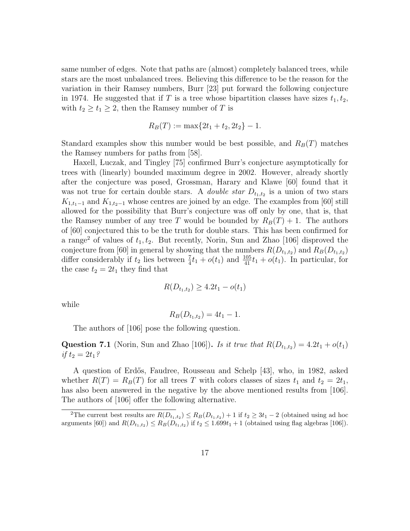same number of edges. Note that paths are (almost) completely balanced trees, while stars are the most unbalanced trees. Believing this difference to be the reason for the variation in their Ramsey numbers, Burr [23] put forward the following conjecture in 1974. He suggested that if T is a tree whose bipartition classes have sizes  $t_1, t_2$ , with  $t_2 \geq t_1 \geq 2$ , then the Ramsey number of T is

$$
R_B(T) := \max\{2t_1 + t_2, 2t_2\} - 1.
$$

Standard examples show this number would be best possible, and  $R_B(T)$  matches the Ramsey numbers for paths from [58].

Haxell, Luczak, and Tingley [75] confirmed Burr's conjecture asymptotically for trees with (linearly) bounded maximum degree in 2002. However, already shortly after the conjecture was posed, Grossman, Harary and Klawe [60] found that it was not true for certain double stars. A *double star*  $D_{t_1,t_2}$  is a union of two stars  $K_{1,t_1-1}$  and  $K_{1,t_2-1}$  whose centres are joined by an edge. The examples from [60] still allowed for the possibility that Burr's conjecture was off only by one, that is, that the Ramsey number of any tree T would be bounded by  $R_B(T) + 1$ . The authors of [60] conjectured this to be the truth for double stars. This has been confirmed for a range<sup>2</sup> of values of  $t_1, t_2$ . But recently, Norin, Sun and Zhao [106] disproved the conjecture from [60] in general by showing that the numbers  $R(D_{t_1,t_2})$  and  $R_B(D_{t_1,t_2})$ differ considerably if  $t_2$  lies between  $\frac{7}{4}t_1 + o(t_1)$  and  $\frac{105}{41}t_1 + o(t_1)$ . In particular, for the case  $t_2 = 2t_1$  they find that

$$
R(D_{t_1,t_2}) \ge 4.2t_1 - o(t_1)
$$

while

$$
R_B(D_{t_1,t_2}) = 4t_1 - 1.
$$

The authors of [106] pose the following question.

**Question 7.1** (Norin, Sun and Zhao [106]). Is it true that  $R(D_{t_1,t_2}) = 4.2t_1 + o(t_1)$ if  $t_2 = 2t_1?$ 

A question of Erd˝os, Faudree, Rousseau and Schelp [43], who, in 1982, asked whether  $R(T) = R_B(T)$  for all trees T with colors classes of sizes  $t_1$  and  $t_2 = 2t_1$ , has also been answered in the negative by the above mentioned results from  $[106]$ . The authors of [106] offer the following alternative.

<sup>&</sup>lt;sup>2</sup>The current best results are  $R(D_{t_1,t_2}) \le R_B(D_{t_1,t_2}) + 1$  if  $t_2 \ge 3t_1 - 2$  (obtained using ad hoc arguments [60]) and  $R(D_{t_1,t_2}) \leq R_B(D_{t_1,t_2})$  if  $t_2 \leq 1.699t_1 + 1$  (obtained using flag algebras [106]).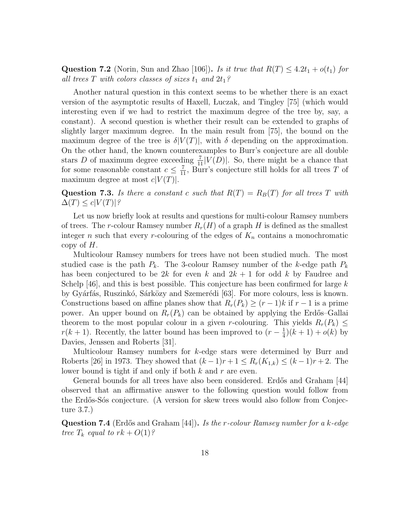**Question 7.2** (Norin, Sun and Zhao [106]). Is it true that  $R(T) \leq 4.2t_1 + o(t_1)$  for all trees T with colors classes of sizes  $t_1$  and  $2t_1$ ?

Another natural question in this context seems to be whether there is an exact version of the asymptotic results of Haxell, Luczak, and Tingley [75] (which would interesting even if we had to restrict the maximum degree of the tree by, say, a constant). A second question is whether their result can be extended to graphs of slightly larger maximum degree. In the main result from [75], the bound on the maximum degree of the tree is  $\delta |V(T)|$ , with  $\delta$  depending on the approximation. On the other hand, the known counterexamples to Burr's conjecture are all double stars D of maximum degree exceeding  $\frac{7}{11}|V(D)|$ . So, there might be a chance that for some reasonable constant  $c \leq \frac{7}{11}$ , Burr's conjecture still holds for all trees T of maximum degree at most  $c|V(T)|$ .

Question 7.3. Is there a constant c such that  $R(T) = R_B(T)$  for all trees T with  $\Delta(T) \leq c|V(T)|^2$ 

Let us now briefly look at results and questions for multi-colour Ramsey numbers of trees. The r-colour Ramsey number  $R_r(H)$  of a graph H is defined as the smallest integer n such that every r-colouring of the edges of  $K_n$  contains a monochromatic copy of  $H$ .

Multicolour Ramsey numbers for trees have not been studied much. The most studied case is the path  $P_k$ . The 3-colour Ramsey number of the k-edge path  $P_k$ has been conjectured to be 2k for even k and  $2k + 1$  for odd k by Faudree and Schelp [46], and this is best possible. This conjecture has been confirmed for large  $k$ by Gyárfás, Ruszinkó, Sárközy and Szemerédi [63]. For more colours, less is known. Constructions based on affine planes show that  $R_r(P_k) \ge (r-1)k$  if  $r-1$  is a prime power. An upper bound on  $R_r(P_k)$  can be obtained by applying the Erdős–Gallai theorem to the most popular colour in a given r-colouring. This yields  $R_r(P_k) \leq$  $r(k+1)$ . Recently, the latter bound has been improved to  $(r-\frac{1}{4})$  $(\frac{1}{4})(k+1) + o(k)$  by Davies, Jenssen and Roberts [31].

Multicolour Ramsey numbers for k-edge stars were determined by Burr and Roberts [26] in 1973. They showed that  $(k-1)r+1 \le R_r(K_{1,k}) \le (k-1)r+2$ . The lower bound is tight if and only if both  $k$  and  $r$  are even.

General bounds for all trees have also been considered. Erdős and Graham [44] observed that an affirmative answer to the following question would follow from the Erdős-Sós conjecture. (A version for skew trees would also follow from Conjecture 3.7.)

**Question 7.4** (Erdős and Graham  $[44]$ ). Is the r-colour Ramsey number for a k-edge tree  $T_k$  equal to  $rk + O(1)$ ?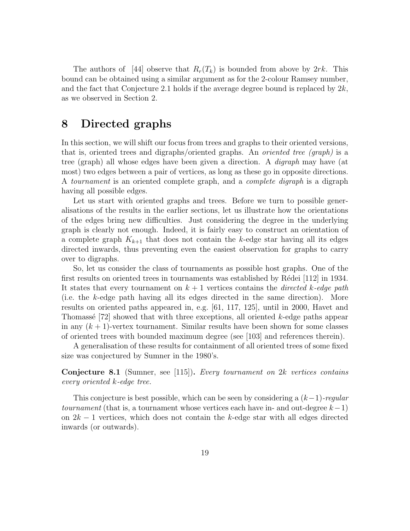The authors of [44] observe that  $R_r(T_k)$  is bounded from above by  $2rk$ . This bound can be obtained using a similar argument as for the 2-colour Ramsey number, and the fact that Conjecture 2.1 holds if the average degree bound is replaced by  $2k$ , as we observed in Section 2.

# 8 Directed graphs

In this section, we will shift our focus from trees and graphs to their oriented versions, that is, oriented trees and digraphs/oriented graphs. An oriented tree (graph) is a tree (graph) all whose edges have been given a direction. A digraph may have (at most) two edges between a pair of vertices, as long as these go in opposite directions. A tournament is an oriented complete graph, and a complete digraph is a digraph having all possible edges.

Let us start with oriented graphs and trees. Before we turn to possible generalisations of the results in the earlier sections, let us illustrate how the orientations of the edges bring new difficulties. Just considering the degree in the underlying graph is clearly not enough. Indeed, it is fairly easy to construct an orientation of a complete graph  $K_{k+1}$  that does not contain the k-edge star having all its edges directed inwards, thus preventing even the easiest observation for graphs to carry over to digraphs.

So, let us consider the class of tournaments as possible host graphs. One of the first results on oriented trees in tournaments was established by Rédei  $[112]$  in 1934. It states that every tournament on  $k + 1$  vertices contains the *directed k-edge path* (i.e. the k-edge path having all its edges directed in the same direction). More results on oriented paths appeared in, e.g. [61, 117, 125], until in 2000, Havet and Thomassé  $[72]$  showed that with three exceptions, all oriented k-edge paths appear in any  $(k+1)$ -vertex tournament. Similar results have been shown for some classes of oriented trees with bounded maximum degree (see [103] and references therein).

A generalisation of these results for containment of all oriented trees of some fixed size was conjectured by Sumner in the 1980's.

### Conjecture 8.1 (Sumner, see [115]). Every tournament on 2k vertices contains every oriented k-edge tree.

This conjecture is best possible, which can be seen by considering a  $(k-1)$ -regular tournament (that is, a tournament whose vertices each have in- and out-degree  $k-1$ ) on  $2k - 1$  vertices, which does not contain the k-edge star with all edges directed inwards (or outwards).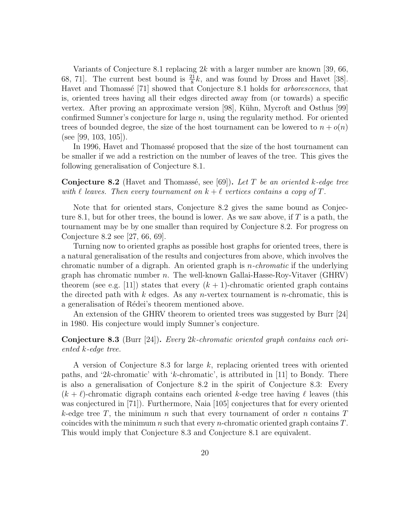Variants of Conjecture 8.1 replacing  $2k$  with a larger number are known [39, 66, 68, 71]. The current best bound is  $\frac{21}{8}k$ , and was found by Dross and Havet [38]. Havet and Thomassé [71] showed that Conjecture 8.1 holds for *arborescences*, that is, oriented trees having all their edges directed away from (or towards) a specific vertex. After proving an approximate version [98], Kühn, Mycroft and Osthus [99] confirmed Sumner's conjecture for large n, using the regularity method. For oriented trees of bounded degree, the size of the host tournament can be lowered to  $n + o(n)$ (see [99, 103, 105]).

In 1996, Havet and Thomassé proposed that the size of the host tournament can be smaller if we add a restriction on the number of leaves of the tree. This gives the following generalisation of Conjecture 8.1.

**Conjecture 8.2** (Havet and Thomassé, see [69]). Let T be an oriented k-edge tree with  $\ell$  leaves. Then every tournament on  $k + \ell$  vertices contains a copy of T.

Note that for oriented stars, Conjecture 8.2 gives the same bound as Conjecture 8.1, but for other trees, the bound is lower. As we saw above, if  $T$  is a path, the tournament may be by one smaller than required by Conjecture 8.2. For progress on Conjecture 8.2 see [27, 66, 69].

Turning now to oriented graphs as possible host graphs for oriented trees, there is a natural generalisation of the results and conjectures from above, which involves the chromatic number of a digraph. An oriented graph is n-chromatic if the underlying graph has chromatic number  $n$ . The well-known Gallai-Hasse-Roy-Vitaver (GHRV) theorem (see e.g. [11]) states that every  $(k + 1)$ -chromatic oriented graph contains the directed path with  $k$  edges. As any *n*-vertex tournament is *n*-chromatic, this is a generalisation of Rédei's theorem mentioned above.

An extension of the GHRV theorem to oriented trees was suggested by Burr [24] in 1980. His conjecture would imply Sumner's conjecture.

### Conjecture 8.3 (Burr [24]). Every 2k-chromatic oriented graph contains each oriented k-edge tree.

A version of Conjecture 8.3 for large k, replacing oriented trees with oriented paths, and '2k-chromatic' with 'k-chromatic', is attributed in [11] to Bondy. There is also a generalisation of Conjecture 8.2 in the spirit of Conjecture 8.3: Every  $(k + \ell)$ -chromatic digraph contains each oriented k-edge tree having  $\ell$  leaves (this was conjectured in [71]). Furthermore, Naia [105] conjectures that for every oriented k-edge tree T, the minimum n such that every tournament of order n contains  $T$ coincides with the minimum n such that every n-chromatic oriented graph contains  $T$ . This would imply that Conjecture 8.3 and Conjecture 8.1 are equivalent.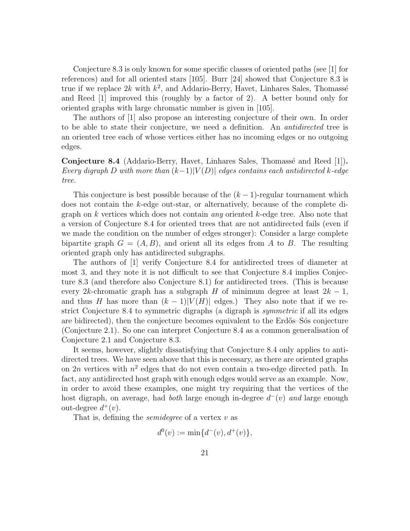Conjecture 8.3 is only known for some specific classes of oriented paths (see [1] for references) and for all oriented stars [105]. Burr [24] showed that Conjecture 8.3 is true if we replace  $2k$  with  $k^2$ , and Addario-Berry, Havet, Linhares Sales, Thomassé and Reed [1] improved this (roughly by a factor of 2). A better bound only for oriented graphs with large chromatic number is given in [105].

The authors of [1] also propose an interesting conjecture of their own. In order to be able to state their conjecture, we need a definition. An antidirected tree is an oriented tree each of whose vertices either has no incoming edges or no outgoing edges.

Conjecture 8.4 (Addario-Berry, Havet, Linhares Sales, Thomassé and Reed [1]). Every digraph D with more than  $(k-1)|V(D)|$  edges contains each antidirected k-edge tree.

This conjecture is best possible because of the  $(k-1)$ -regular tournament which does not contain the k-edge out-star, or alternatively, because of the complete digraph on k vertices which does not contain *any* oriented k-edge tree. Also note that a version of Conjecture 8.4 for oriented trees that are not antidirected fails (even if we made the condition on the number of edges stronger): Consider a large complete bipartite graph  $G = (A, B)$ , and orient all its edges from A to B. The resulting oriented graph only has antidirected subgraphs.

The authors of [1] verify Conjecture 8.4 for antidirected trees of diameter at most 3, and they note it is not difficult to see that Conjecture 8.4 implies Conjecture 8.3 (and therefore also Conjecture 8.1) for antidirected trees. (This is because every 2k-chromatic graph has a subgraph H of minimum degree at least  $2k - 1$ , and thus H has more than  $(k-1)|V(H)|$  edges.) They also note that if we restrict Conjecture 8.4 to symmetric digraphs (a digraph is *symmetric* if all its edges are bidirected), then the conjecture becomes equivalent to the Erdős–Sós conjecture (Conjecture 2.1). So one can interpret Conjecture 8.4 as a common generalisation of Conjecture 2.1 and Conjecture 8.3.

It seems, however, slightly dissatisfying that Conjecture 8.4 only applies to antidirected trees. We have seen above that this is necessary, as there are oriented graphs on  $2n$  vertices with  $n^2$  edges that do not even contain a two-edge directed path. In fact, any antidirected host graph with enough edges would serve as an example. Now, in order to avoid these examples, one might try requiring that the vertices of the host digraph, on average, had *both* large enough in-degree  $d^-(v)$  and large enough out-degree  $d^+(v)$ .

That is, defining the *semidegree* of a vertex  $v$  as

$$
d^{0}(v) := \min\{d^{-}(v), d^{+}(v)\},
$$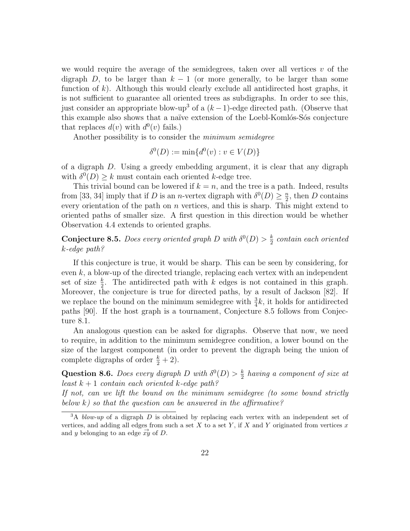we would require the average of the semidegrees, taken over all vertices  $v$  of the digraph D, to be larger than  $k-1$  (or more generally, to be larger than some function of  $k$ ). Although this would clearly exclude all antidirected host graphs, it is not sufficient to guarantee all oriented trees as subdigraphs. In order to see this, just consider an appropriate blow-up<sup>3</sup> of a  $(k-1)$ -edge directed path. (Observe that this example also shows that a naïve extension of the Loebl-Komlós-Sós conjecture that replaces  $d(v)$  with  $d^0(v)$  fails.)

Another possibility is to consider the *minimum semidegree* 

$$
\delta^{0}(D) := \min\{d^{0}(v) : v \in V(D)\}
$$

of a digraph D. Using a greedy embedding argument, it is clear that any digraph with  $\delta^{0}(D) \geq k$  must contain each oriented k-edge tree.

This trivial bound can be lowered if  $k = n$ , and the tree is a path. Indeed, results from [33, 34] imply that if D is an n-vertex digraph with  $\delta^0(D) \geq \frac{n}{2}$  $\frac{n}{2}$ , then D contains every orientation of the path on  $n$  vertices, and this is sharp. This might extend to oriented paths of smaller size. A first question in this direction would be whether Observation 4.4 extends to oriented graphs.

**Conjecture 8.5.** Does every oriented graph D with  $\delta^0(D) > \frac{k}{2}$  $\frac{k}{2}$  contain each oriented k-edge path?

If this conjecture is true, it would be sharp. This can be seen by considering, for even  $k$ , a blow-up of the directed triangle, replacing each vertex with an independent set of size  $\frac{k}{2}$ . The antidirected path with k edges is not contained in this graph. Moreover, the conjecture is true for directed paths, by a result of Jackson [82]. If we replace the bound on the minimum semidegree with  $\frac{3}{4}k$ , it holds for antidirected paths [90]. If the host graph is a tournament, Conjecture 8.5 follows from Conjecture 8.1.

An analogous question can be asked for digraphs. Observe that now, we need to require, in addition to the minimum semidegree condition, a lower bound on the size of the largest component (in order to prevent the digraph being the union of complete digraphs of order  $\frac{k}{2} + 2$ ).

Question 8.6. Does every digraph D with  $\delta^0(D) > \frac{k}{2}$  $\frac{k}{2}$  having a component of size at least  $k + 1$  contain each oriented k-edge path?

If not, can we lift the bound on the minimum semidegree (to some bound strictly below  $k$ ) so that the question can be answered in the affirmative?

 $3A$  blow-up of a digraph D is obtained by replacing each vertex with an independent set of vertices, and adding all edges from such a set  $X$  to a set  $Y$ , if  $X$  and  $Y$  originated from vertices  $x$ and y belonging to an edge  $\vec{xy}$  of D.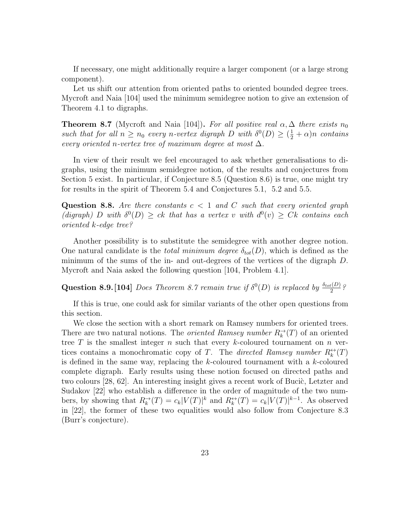If necessary, one might additionally require a larger component (or a large strong component).

Let us shift our attention from oriented paths to oriented bounded degree trees. Mycroft and Naia [104] used the minimum semidegree notion to give an extension of Theorem 4.1 to digraphs.

**Theorem 8.7** (Mycroft and Naia [104]). For all positive real  $\alpha, \Delta$  there exists  $n_0$ such that for all  $n \geq n_0$  every n-vertex digraph D with  $\delta^0(D) \geq (\frac{1}{2} + \alpha)n$  contains every oriented n-vertex tree of maximum degree at most  $\Delta$ .

In view of their result we feel encouraged to ask whether generalisations to digraphs, using the minimum semidegree notion, of the results and conjectures from Section 5 exist. In particular, if Conjecture 8.5 (Question 8.6) is true, one might try for results in the spirit of Theorem 5.4 and Conjectures 5.1, 5.2 and 5.5.

**Question 8.8.** Are there constants  $c < 1$  and C such that every oriented graph (digraph) D with  $\delta^{0}(D) \geq ck$  that has a vertex v with  $d^{0}(v) \geq Ck$  contains each oriented k-edge tree?

Another possibility is to substitute the semidegree with another degree notion. One natural candidate is the *total minimum degree*  $\delta_{tot}(D)$ , which is defined as the minimum of the sums of the in- and out-degrees of the vertices of the digraph D. Mycroft and Naia asked the following question [104, Problem 4.1].

**Question 8.9.** [104] *Does Theorem 8.7 remain true if*  $\delta^{0}(D)$  *is replaced by*  $\frac{\delta_{tot}(D)}{2}$ ?

If this is true, one could ask for similar variants of the other open questions from this section.

We close the section with a short remark on Ramsey numbers for oriented trees. There are two natural notions. The *oriented Ramsey number*  $R_k^{\rightarrow}(T)$  of an oriented tree  $T$  is the smallest integer  $n$  such that every  $k$ -coloured tournament on  $n$  vertices contains a monochromatic copy of T. The directed Ramsey number  $R_k^{\leftrightarrow}(T)$ is defined in the same way, replacing the  $k$ -coloured tournament with a  $k$ -coloured complete digraph. Early results using these notion focused on directed paths and two colours [28, 62]. An interesting insight gives a recent work of Bucic, Letzter and Sudakov [22] who establish a difference in the order of magnitude of the two numbers, by showing that  $R_k^{\to}(T) = c_k |V(T)|^k$  and  $R_k^{\leftrightarrow}(T) = c_k |V(T)|^{k-1}$ . As observed in [22], the former of these two equalities would also follow from Conjecture 8.3 (Burr's conjecture).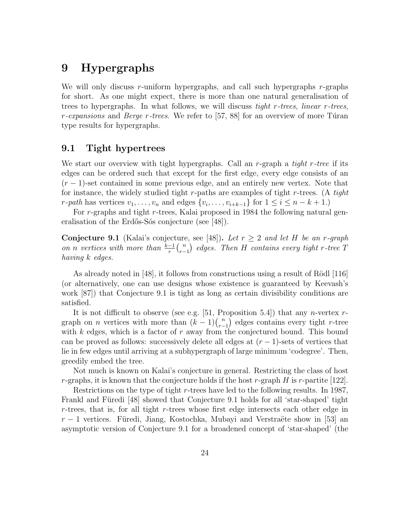# 9 Hypergraphs

We will only discuss r-uniform hypergraphs, and call such hypergraphs r-graphs for short. As one might expect, there is more than one natural generalisation of trees to hypergraphs. In what follows, we will discuss tight r-trees, linear r-trees,  $r$ -expansions and Berge r-trees. We refer to [57, 88] for an overview of more Turan type results for hypergraphs.

### 9.1 Tight hypertrees

We start our overview with tight hypergraphs. Call an r-graph a *tight r-tree* if its edges can be ordered such that except for the first edge, every edge consists of an  $(r-1)$ -set contained in some previous edge, and an entirely new vertex. Note that for instance, the widely studied tight r-paths are examples of tight r-trees. (A tight r-path has vertices  $v_1, \ldots, v_n$  and edges  $\{v_i, \ldots, v_{i+k-1}\}$  for  $1 \leq i \leq n-k+1$ .)

For r-graphs and tight r-trees, Kalai proposed in 1984 the following natural generalisation of the Erdős-Sós conjecture (see [48]).

**Conjecture 9.1** (Kalai's conjecture, see [48]). Let  $r \geq 2$  and let H be an r-graph on n vertices with more than  $\frac{k-1}{r} {n \choose r-1}$  $\binom{n}{r-1}$  edges. Then H contains every tight r-tree T having k edges.

As already noted in  $[48]$ , it follows from constructions using a result of Rödl  $[116]$ (or alternatively, one can use designs whose existence is guaranteed by Keevash's work [87]) that Conjecture 9.1 is tight as long as certain divisibility conditions are satisfied.

It is not difficult to observe (see e.g. [51, Proposition 5.4]) that any *n*-vertex  $r$ graph on *n* vertices with more than  $(k-1)\binom{n}{r}$  $r_{r-1}^{n}$  edges contains every tight r-tree with  $k$  edges, which is a factor of  $r$  away from the conjectured bound. This bound can be proved as follows: successively delete all edges at  $(r-1)$ -sets of vertices that lie in few edges until arriving at a subhypergraph of large minimum 'codegree'. Then, greedily embed the tree.

Not much is known on Kalai's conjecture in general. Restricting the class of host r-graphs, it is known that the conjecture holds if the host r-graph  $H$  is r-partite [122].

Restrictions on the type of tight r-trees have led to the following results. In 1987, Frankl and Füredi [48] showed that Conjecture 9.1 holds for all 'star-shaped' tight  $r$ -trees, that is, for all tight  $r$ -trees whose first edge intersects each other edge in  $r-1$  vertices. Füredi, Jiang, Kostochka, Mubayi and Verstraëte show in [53] an asymptotic version of Conjecture 9.1 for a broadened concept of 'star-shaped' (the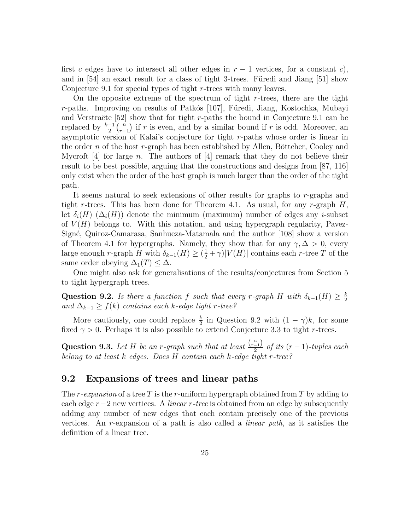first c edges have to intersect all other edges in  $r - 1$  vertices, for a constant c), and in  $[54]$  an exact result for a class of tight 3-trees. Furedi and Jiang  $[51]$  show Conjecture 9.1 for special types of tight r-trees with many leaves.

On the opposite extreme of the spectrum of tight  $r$ -trees, there are the tight r-paths. Improving on results of Patkós  $[107]$ , Füredi, Jiang, Kostochka, Mubayi and Verstraëte  $[52]$  show that for tight r-paths the bound in Conjecture 9.1 can be replaced by  $\frac{k-1}{2} {n \choose r-1}$  $\binom{n}{r-1}$  if r is even, and by a similar bound if r is odd. Moreover, an asymptotic version of Kalai's conjecture for tight r-paths whose order is linear in the order n of the host r-graph has been established by Allen, Böttcher, Cooley and Mycroft [4] for large n. The authors of [4] remark that they do not believe their result to be best possible, arguing that the constructions and designs from [87, 116] only exist when the order of the host graph is much larger than the order of the tight path.

It seems natural to seek extensions of other results for graphs to r-graphs and tight r-trees. This has been done for Theorem 4.1. As usual, for any r-graph  $H$ , let  $\delta_i(H)$  ( $\Delta_i(H)$ ) denote the minimum (maximum) number of edges any *i*-subset of  $V(H)$  belongs to. With this notation, and using hypergraph regularity, Pavez-Sign´e, Quiroz-Camarasa, Sanhueza-Matamala and the author [108] show a version of Theorem 4.1 for hypergraphs. Namely, they show that for any  $\gamma, \Delta > 0$ , every large enough r-graph H with  $\delta_{k-1}(H) \geq (\frac{1}{2} + \gamma)|V(H)|$  contains each r-tree T of the same order obeying  $\Delta_1(T) \leq \Delta$ .

One might also ask for generalisations of the results/conjectures from Section 5 to tight hypergraph trees.

Question 9.2. Is there a function f such that every r-graph H with  $\delta_{k-1}(H) \geq \frac{k}{2}$ 2 and  $\Delta_{k-1}$  ≥  $f(k)$  contains each k-edge tight r-tree?

More cautiously, one could replace  $\frac{k}{2}$  in Question 9.2 with  $(1 - \gamma)k$ , for some fixed  $\gamma > 0$ . Perhaps it is also possible to extend Conjecture 3.3 to tight r-trees.

Question 9.3. Let H be an r-graph such that at least  $\frac{\binom{n}{r-1}}{2}$  $\frac{-1}{2}$  of its  $(r-1)$ -tuples each belong to at least k edges. Does H contain each k-edge tight r-tree?

### 9.2 Expansions of trees and linear paths

The r-expansion of a tree T is the r-uniform hypergraph obtained from T by adding to each edge  $r-2$  new vertices. A *linear r-tree* is obtained from an edge by subsequently adding any number of new edges that each contain precisely one of the previous vertices. An r-expansion of a path is also called a linear path, as it satisfies the definition of a linear tree.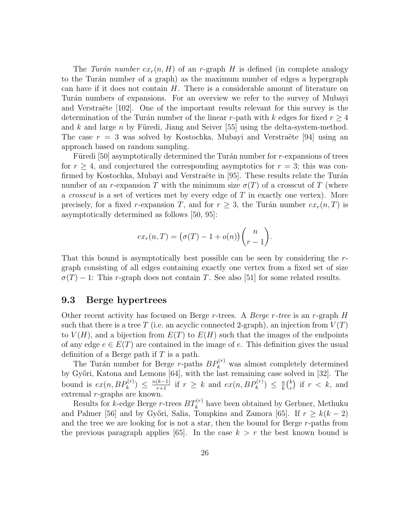The Turán number  $ex_r(n, H)$  of an r-graph H is defined (in complete analogy to the Turán number of a graph) as the maximum number of edges a hypergraph can have if it does not contain  $H$ . There is a considerable amount of literature on Turán numbers of expansions. For an overview we refer to the survey of Mubayi and Verstraëte  $[102]$ . One of the important results relevant for this survey is the determination of the Turán number of the linear r-path with k edges for fixed  $r \geq 4$ and k and large n by Füredi, Jiang and Seiver  $[55]$  using the delta-system-method. The case  $r = 3$  was solved by Kostochka, Mubayi and Verstraëte [94] using an approach based on random sampling.

Füredi  $[50]$  asymptotically determined the Turán number for r-expansions of trees for  $r > 4$ , and conjectured the corresponding asymptotics for  $r = 3$ ; this was confirmed by Kostochka, Mubayi and Verstraëte in [95]. These results relate the Turán number of an r-expansion T with the minimum size  $\sigma(T)$  of a crosscut of T (where a *crosscut* is a set of vertices met by every edge of  $T$  in exactly one vertex). More precisely, for a fixed r-expansion T, and for  $r \geq 3$ , the Turán number  $ex_r(n,T)$  is asymptotically determined as follows [50, 95]:

$$
ex_r(n,T) = (\sigma(T) - 1 + o(n)) \binom{n}{r-1}.
$$

That this bound is asymptotically best possible can be seen by considering the rgraph consisting of all edges containing exactly one vertex from a fixed set of size  $\sigma(T) - 1$ : This r-graph does not contain T. See also [51] for some related results.

### 9.3 Berge hypertrees

Other recent activity has focused on Berge r-trees. A *Berge r-tree* is an r-graph  $H$ such that there is a tree T (i.e. an acyclic connected 2-graph), an injection from  $V(T)$ to  $V(H)$ , and a bijection from  $E(T)$  to  $E(H)$  such that the images of the endpoints of any edge  $e \in E(T)$  are contained in the image of e. This definition gives the usual definition of a Berge path if  $T$  is a path.

The Turán number for Berge r-paths  $BP_k^{(r)}$  was almost completely determined by Győri, Katona and Lemons [64], with the last remaining case solved in [32]. The bound is  $ex(n, BP_k^{(r)}) \leq \frac{n(k-1)}{r+1}$  if  $r \geq k$  and  $ex(n, BP_k^{(r)}) \leq \frac{n}{k}$  $\frac{n}{k} \binom{k}{r}$  $\binom{k}{r}$  if  $r < k$ , and extremal r-graphs are known.

Results for *k*-edge Berge *r*-trees  $BT_k^{(r)}$  have been obtained by Gerbner, Methuku and Palmer [56] and by Győri, Salia, Tompkins and Zamora [65]. If  $r > k(k-2)$ and the tree we are looking for is not a star, then the bound for Berge r-paths from the previous paragraph applies [65]. In the case  $k > r$  the best known bound is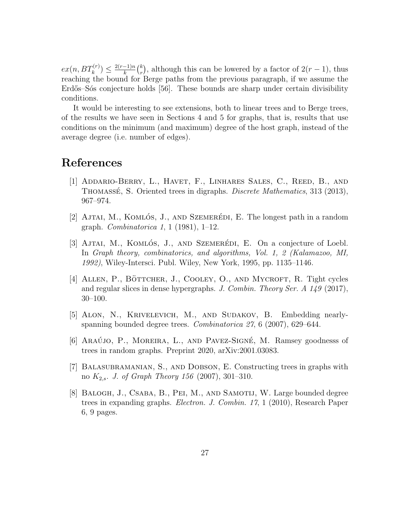$ex(n, BT_k^{(r)}) \leq \frac{2(r-1)n}{k}$  $\frac{-1)n}{k}\binom{k}{r}$  $\binom{k}{r}$ , although this can be lowered by a factor of  $2(r-1)$ , thus reaching the bound for Berge paths from the previous paragraph, if we assume the Erdős–Sós conjecture holds [56]. These bounds are sharp under certain divisibility conditions.

It would be interesting to see extensions, both to linear trees and to Berge trees, of the results we have seen in Sections 4 and 5 for graphs, that is, results that use conditions on the minimum (and maximum) degree of the host graph, instead of the average degree (i.e. number of edges).

# References

- [1] Addario-Berry, L., Havet, F., Linhares Sales, C., Reed, B., and THOMASSÉ, S. Oriented trees in digraphs. *Discrete Mathematics*, 313 (2013), 967–974.
- [2] AJTAI, M., KOMLÓS, J., AND SZEMERÉDI, E. The longest path in a random graph. Combinatorica 1, 1 (1981), 1–12.
- [3] AJTAI, M., KOMLÓS, J., AND SZEMERÉDI, E. On a conjecture of Loebl. In Graph theory, combinatorics, and algorithms, Vol. 1, 2 (Kalamazoo, MI, 1992), Wiley-Intersci. Publ. Wiley, New York, 1995, pp. 1135–1146.
- [4] ALLEN, P., BÖTTCHER, J., COOLEY, O., AND MYCROFT, R. Tight cycles and regular slices in dense hypergraphs. J. Combin. Theory Ser. A 149 (2017), 30–100.
- [5] Alon, N., Krivelevich, M., and Sudakov, B. Embedding nearlyspanning bounded degree trees. Combinatorica 27, 6 (2007), 629–644.
- [6] ARAÚJO, P., MOREIRA, L., AND PAVEZ-SIGNÉ, M. Ramsey goodnesss of trees in random graphs. Preprint 2020, arXiv:2001.03083.
- [7] Balasubramanian, S., and Dobson, E. Constructing trees in graphs with no  $K_{2,s}$ . J. of Graph Theory 156 (2007), 301–310.
- [8] Balogh, J., Csaba, B., Pei, M., and Samotij, W. Large bounded degree trees in expanding graphs. Electron. J. Combin. 17, 1 (2010), Research Paper 6, 9 pages.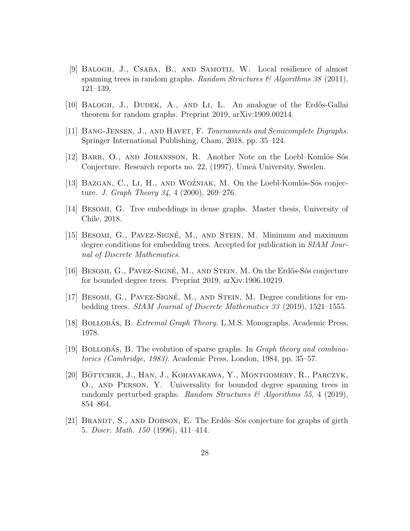- [9] BALOGH, J., CSABA, B., AND SAMOTIJ, W. Local resilience of almost spanning trees in random graphs. Random Structures  $\mathcal{B}$  Algorithms 38 (2011), 121–139.
- [10] BALOGH, J., DUDEK, A., AND LI, L. An analogue of the Erdős-Gallai theorem for random graphs. Preprint 2019, arXiv:1909.00214.
- [11] Bang-Jensen, J., and Havet, F. Tournaments and Semicomplete Digraphs. Springer International Publishing, Cham, 2018, pp. 35–124.
- [12] BARR, O., AND JOHANSSON, R. Another Note on the Loebl–Komlós–Sós Conjecture. Research reports no. 22, (1997), Umeå University, Sweden.
- [13] BAZGAN, C., LI, H., AND WOŹNIAK, M. On the Loebl-Komlós-Sós conjecture. J. Graph Theory 34, 4 (2000), 269–276.
- [14] Besomi, G. Tree embeddings in dense graphs. Master thesis, University of Chile, 2018.
- [15] BESOMI, G., PAVEZ-SIGNÉ, M., AND STEIN, M. Minimum and maximum degree conditions for embedding trees. Accepted for publication in SIAM Journal of Discrete Mathematics.
- [16] BESOMI, G., PAVEZ-SIGNÉ, M., AND STEIN, M. On the Erdős-Sós conjecture for bounded degree trees. Preprint 2019, arXiv:1906.10219.
- [17] BESOMI, G., PAVEZ-SIGNÉ, M., AND STEIN, M. Degree conditions for embedding trees. SIAM Journal of Discrete Mathematics 33 (2019), 1521–1555.
- [18] BOLLOBÁS, B. *Extremal Graph Theory.* L.M.S. Monographs. Academic Press, 1978.
- [19] BOLLOBAS, B. The evolution of sparse graphs. In *Graph theory and combina*torics (Cambridge, 1983). Academic Press, London, 1984, pp. 35–57.
- [20] BÖTTCHER, J., HAN, J., KOHAYAKAWA, Y., MONTGOMERY, R., PARCZYK, O., and Person, Y. Universality for bounded degree spanning trees in randomly perturbed graphs. Random Structures  $\mathcal{B}$  Algorithms 55, 4 (2019), 854–864.
- [21] BRANDT, S., AND DOBSON, E. The Erdős–Sós conjecture for graphs of girth 5. Discr. Math. 150 (1996), 411–414.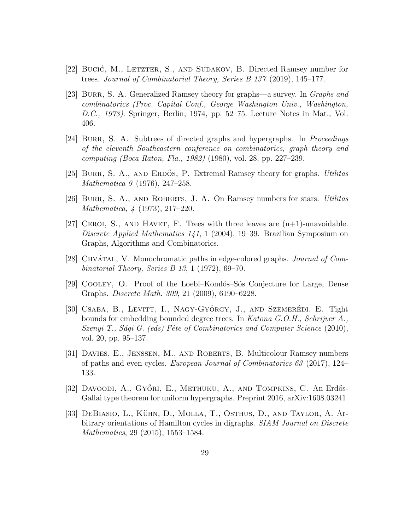- [22] Bucić, M., LETZTER, S., AND SUDAKOV, B. Directed Ramsey number for trees. Journal of Combinatorial Theory, Series B 137 (2019), 145–177.
- [23] BURR, S. A. Generalized Ramsey theory for graphs—a survey. In *Graphs and* combinatorics (Proc. Capital Conf., George Washington Univ., Washington, D.C., 1973). Springer, Berlin, 1974, pp. 52–75. Lecture Notes in Mat., Vol. 406.
- [24] BURR, S. A. Subtrees of directed graphs and hypergraphs. In *Proceedings* of the eleventh Southeastern conference on combinatorics, graph theory and computing (Boca Raton, Fla., 1982) (1980), vol. 28, pp. 227–239.
- [25] BURR, S. A., AND ERDOS, P. Extremal Ramsey theory for graphs. Utilitas Mathematica 9 (1976), 247–258.
- [26] BURR, S. A., AND ROBERTS, J. A. On Ramsey numbers for stars. *Utilitas* Mathematica, 4 (1973), 217–220.
- [27] CEROI, S., AND HAVET, F. Trees with three leaves are  $(n+1)$ -unavoidable. Discrete Applied Mathematics 141, 1 (2004), 19–39. Brazilian Symposium on Graphs, Algorithms and Combinatorics.
- [28] CHVÁTAL, V. Monochromatic paths in edge-colored graphs. Journal of Combinatorial Theory, Series B 13, 1 (1972), 69–70.
- [29] COOLEY, O. Proof of the Loebl–Komlós–Sós Conjecture for Large, Dense Graphs. Discrete Math. 309, 21 (2009), 6190–6228.
- [30] CSABA, B., LEVITT, I., NAGY-GYÖRGY, J., AND SZEMERÉDI, E. Tight bounds for embedding bounded degree trees. In Katona G.O.H., Schrijver A., Szenyi T., Sági G. (eds) Fête of Combinatorics and Computer Science  $(2010)$ , vol. 20, pp. 95–137.
- [31] Davies, E., Jenssen, M., and Roberts, B. Multicolour Ramsey numbers of paths and even cycles. European Journal of Combinatorics 63 (2017), 124– 133.
- [32] DAVOODI, A., GYŐRI, E., METHUKU, A., AND TOMPKINS, C. An Erdős-Gallai type theorem for uniform hypergraphs. Preprint 2016, arXiv:1608.03241.
- [33] DEBIASIO, L., KÜHN, D., MOLLA, T., OSTHUS, D., AND TAYLOR, A. Arbitrary orientations of Hamilton cycles in digraphs. SIAM Journal on Discrete Mathematics, 29 (2015), 1553–1584.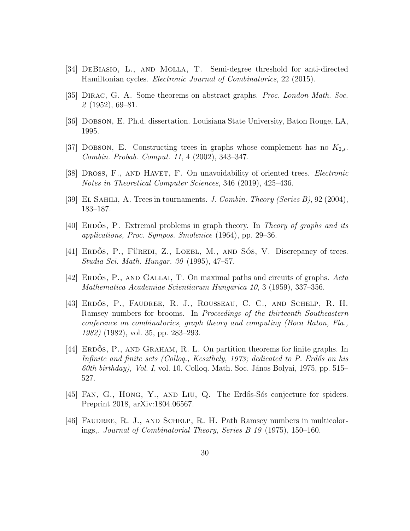- [34] DeBiasio, L., and Molla, T. Semi-degree threshold for anti-directed Hamiltonian cycles. Electronic Journal of Combinatorics, 22 (2015).
- [35] DIRAC, G. A. Some theorems on abstract graphs. *Proc. London Math. Soc.* 2 (1952), 69–81.
- [36] Dobson, E. Ph.d. dissertation. Louisiana State University, Baton Rouge, LA, 1995.
- [37] DOBSON, E. Constructing trees in graphs whose complement has no  $K_{2,s}$ . Combin. Probab. Comput. 11, 4 (2002), 343–347.
- [38] DROSS, F., AND HAVET, F. On unavoidability of oriented trees. *Electronic* Notes in Theoretical Computer Sciences, 346 (2019), 425–436.
- [39] EL SAHILI, A. Trees in tournaments. J. Combin. Theory (Series B), 92 (2004), 183–187.
- [40] ERDOS, P. Extremal problems in graph theory. In Theory of graphs and its applications, Proc. Sympos. Smolenice (1964), pp. 29–36.
- $[41]$  ERDOS, P., FÜREDI, Z., LOEBL, M., AND SOS, V. Discrepancy of trees. Studia Sci. Math. Hungar. 30 (1995), 47–57.
- [42] ERDOS, P., AND GALLAI, T. On maximal paths and circuits of graphs.  $Acta$ Mathematica Academiae Scientiarum Hungarica 10, 3 (1959), 337–356.
- [43] ERDŐS, P., FAUDREE, R. J., ROUSSEAU, C. C., AND SCHELP, R. H. Ramsey numbers for brooms. In Proceedings of the thirteenth Southeastern conference on combinatorics, graph theory and computing (Boca Raton, Fla., 1982) (1982), vol. 35, pp. 283–293.
- [44] ERDOS, P., AND GRAHAM, R. L. On partition theorems for finite graphs. In Infinite and finite sets (Colloq., Keszthely, 1973; dedicated to P. Erdős on his 60th birthday), Vol. I, vol. 10. Colloq. Math. Soc. János Bolyai, 1975, pp. 515– 527.
- [45] Fan, G., Hong, Y., and Liu, Q. The Erd˝os-S´os conjecture for spiders. Preprint 2018, arXiv:1804.06567.
- [46] Faudree, R. J., and Schelp, R. H. Path Ramsey numbers in multicolorings,. Journal of Combinatorial Theory, Series B 19 (1975), 150–160.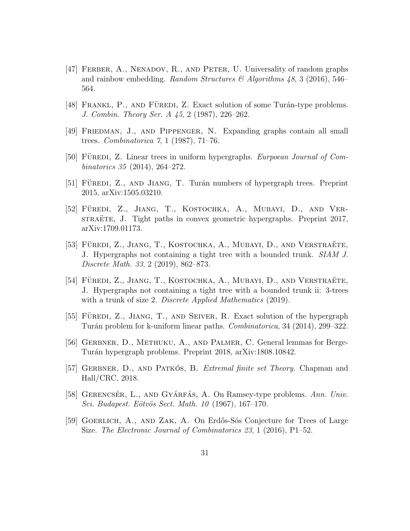- [47] Ferber, A., Nenadov, R., and Peter, U. Universality of random graphs and rainbow embedding. Random Structures & Algorithms  $48$ , 3 (2016), 546– 564.
- [48] FRANKL, P., AND FÜREDI, Z. Exact solution of some Turán-type problems. J. Combin. Theory Ser. A 45, 2 (1987), 226–262.
- [49] Friedman, J., and Pippenger, N. Expanding graphs contain all small trees. Combinatorica 7, 1 (1987), 71–76.
- [50] FÜREDI, Z. Linear trees in uniform hypergraphs. *Eurpoean Journal of Com*binatorics 35 (2014), 264–272.
- [51] FÜREDI, Z., AND JIANG, T. Turán numbers of hypergraph trees. Preprint 2015, arXiv:1505.03210.
- [52] FÜREDI, Z., JIANG, T., KOSTOCHKA, A., MUBAYI, D., AND VERstrature, J. Tight paths in convex geometric hypergraphs. Preprint 2017, arXiv:1709.01173.
- [53] FÜREDI, Z., JIANG, T., KOSTOCHKA, A., MUBAYI, D., AND VERSTRAËTE, J. Hypergraphs not containing a tight tree with a bounded trunk. SIAM J. Discrete Math. 33, 2 (2019), 862–873.
- [54] FÜREDI, Z., JIANG, T., KOSTOCHKA, A., MUBAYI, D., AND VERSTRAËTE, J. Hypergraphs not containing a tight tree with a bounded trunk ii: 3-trees with a trunk of size 2. Discrete Applied Mathematics (2019).
- [55] FÜREDI, Z., JIANG, T., AND SEIVER, R. Exact solution of the hypergraph Turán problem for k-uniform linear paths. *Combinatorica*, 34 (2014), 299–322.
- [56] GERBNER, D., METHUKU, A., AND PALMER, C. General lemmas for Berge-Turán hypergraph problems. Preprint 2018, arXiv:1808.10842.
- [57] GERBNER, D., AND PATKÓS, B. Extremal finite set Theory. Chapman and Hall/CRC, 2018.
- [58] GERENCSÉR, L., AND GYÁRFÁS, A. On Ramsey-type problems. Ann. Univ. Sci. Budapest. Eötvös Sect. Math. 10 (1967), 167–170.
- [59] GOERLICH, A., AND ZAK, A. On Erdős-Sós Conjecture for Trees of Large Size. The Electronic Journal of Combinatorics 23, 1 (2016), P1–52.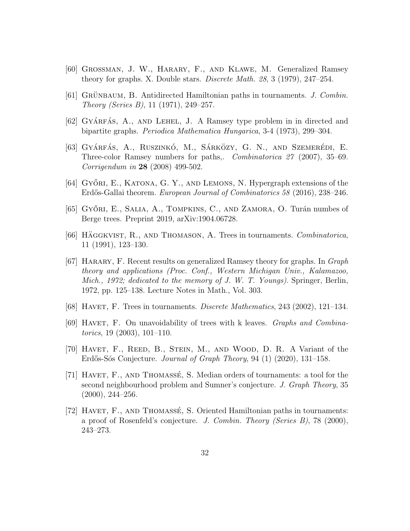- [60] Grossman, J. W., Harary, F., and Klawe, M. Generalized Ramsey theory for graphs. X. Double stars. Discrete Math. 28, 3 (1979), 247–254.
- [61] GRÜNBAUM, B. Antidirected Hamiltonian paths in tournaments. J. Combin. Theory (Series B), 11 (1971), 249–257.
- $[62]$  GYÁRFÁS, A., AND LEHEL, J. A Ramsey type problem in in directed and bipartite graphs. Periodica Mathematica Hungarica, 3-4 (1973), 299–304.
- [63] GYÁRFÁS, A., RUSZINKÓ, M., SÁRKÖZY, G. N., AND SZEMERÉDI, E. Three-color Ramsey numbers for paths,. Combinatorica 27 (2007), 35–69. Corrigendum in 28 (2008) 499-502.
- [64] GYŐRI, E., KATONA, G. Y., AND LEMONS, N. Hypergraph extensions of the Erdős-Gallai theorem. *European Journal of Combinatorics 58* (2016), 238–246.
- [65] GYŐRI, E., SALIA, A., TOMPKINS, C., AND ZAMORA, O. Turán numbes of Berge trees. Preprint 2019, arXiv:1904.06728.
- [66] HAGGKVIST, R., AND THOMASON, A. Trees in tournaments. Combinatorica, 11 (1991), 123–130.
- [67] Harary, F. Recent results on generalized Ramsey theory for graphs. In Graph theory and applications (Proc. Conf., Western Michigan Univ., Kalamazoo, Mich., 1972; dedicated to the memory of J. W. T. Youngs). Springer, Berlin, 1972, pp. 125–138. Lecture Notes in Math., Vol. 303.
- [68] HAVET, F. Trees in tournaments. *Discrete Mathematics*,  $243$  (2002), 121–134.
- [69] HAVET, F. On unavoidability of trees with k leaves. *Graphs and Combina*torics, 19 (2003), 101–110.
- [70] Havet, F., Reed, B., Stein, M., and Wood, D. R. A Variant of the Erdős-Sós Conjecture. Journal of Graph Theory, 94 (1) (2020), 131–158.
- [71] HAVET, F., AND THOMASSE, S. Median orders of tournaments: a tool for the second neighbourhood problem and Sumner's conjecture. J. Graph Theory, 35  $(2000), 244 - 256.$
- [72] HAVET,  $F<sub>1</sub>$ , AND THOMASSE, S. Oriented Hamiltonian paths in tournaments: a proof of Rosenfeld's conjecture. J. Combin. Theory (Series B), 78 (2000), 243–273.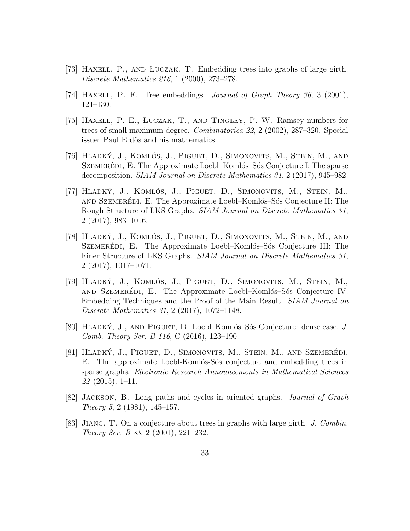- [73] Haxell, P., and Luczak, T. Embedding trees into graphs of large girth. Discrete Mathematics 216, 1 (2000), 273–278.
- [74] HAXELL, P. E. Tree embeddings. *Journal of Graph Theory 36*, 3 (2001), 121–130.
- [75] Haxell, P. E., Luczak, T., and Tingley, P. W. Ramsey numbers for trees of small maximum degree. Combinatorica 22, 2 (2002), 287–320. Special issue: Paul Erdős and his mathematics.
- [76] HLADKÝ, J., KOMLÓS, J., PIGUET, D., SIMONOVITS, M., STEIN, M., AND SZEMERÉDI, E. The Approximate Loebl–Komlós–Sós Conjecture I: The sparse decomposition. SIAM Journal on Discrete Mathematics 31, 2 (2017), 945–982.
- [77] HLADKÝ, J., KOMLÓS, J., PIGUET, D., SIMONOVITS, M., STEIN, M., and Szemeredi, E. The Approximate Loebl–Komlós–Sós Conjecture II: The Rough Structure of LKS Graphs. SIAM Journal on Discrete Mathematics 31, 2 (2017), 983–1016.
- [78] HLADKÝ, J., KOMLÓS, J., PIGUET, D., SIMONOVITS, M., STEIN, M., AND SZEMERÉDI, E. The Approximate Loebl–Komlós–Sós Conjecture III: The Finer Structure of LKS Graphs. SIAM Journal on Discrete Mathematics 31, 2 (2017), 1017–1071.
- [79] HLADKÝ, J., KOMLÓS, J., PIGUET, D., SIMONOVITS, M., STEIN, M., and Szemeredi, E. The Approximate Loebl–Komlós–Sós Conjecture IV: Embedding Techniques and the Proof of the Main Result. SIAM Journal on Discrete Mathematics 31, 2 (2017), 1072–1148.
- [80] HLADKÝ, J., AND PIGUET, D. Loebl–Komlós–Sós Conjecture: dense case. J. Comb. Theory Ser. B 116, C (2016), 123–190.
- [81] HLADKÝ, J., PIGUET, D., SIMONOVITS, M., STEIN, M., AND SZEMERÉDI, E. The approximate Loebl-Komlós-Sós conjecture and embedding trees in sparse graphs. Electronic Research Announcements in Mathematical Sciences  $22(2015), 1-11.$
- [82] Jackson, B. Long paths and cycles in oriented graphs. Journal of Graph Theory 5, 2 (1981), 145–157.
- [83] Jiang, T. On a conjecture about trees in graphs with large girth. J. Combin. Theory Ser. B 83, 2 (2001), 221–232.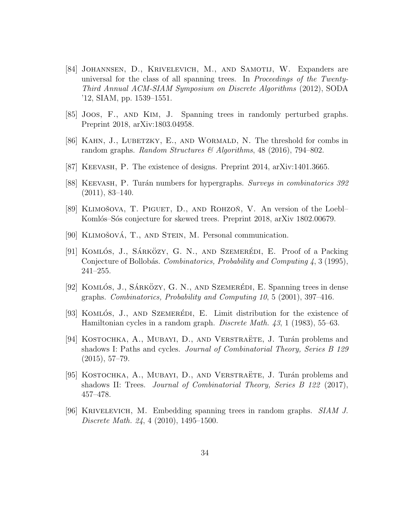- [84] Johannsen, D., Krivelevich, M., and Samotij, W. Expanders are universal for the class of all spanning trees. In Proceedings of the Twenty-Third Annual ACM-SIAM Symposium on Discrete Algorithms (2012), SODA '12, SIAM, pp. 1539–1551.
- [85] Joos, F., and Kim, J. Spanning trees in randomly perturbed graphs. Preprint 2018, arXiv:1803.04958.
- [86] KAHN, J., LUBETZKY, E., AND WORMALD, N. The threshold for combs in random graphs. Random Structures & Algorithms, 48 (2016), 794-802.
- [87] Keevash, P. The existence of designs. Preprint 2014, arXiv:1401.3665.
- [88] KEEVASH, P. Turán numbers for hypergraphs. Surveys in combinatorics 392 (2011), 83–140.
- [89] KLIMOŠOVA, T. PIGUET, D., AND ROHZON, V. An version of the Loebl-Komlós–Sós conjecture for skewed trees. Preprint 2018, arXiv 1802.00679.
- [90] KLIMOŠOVÁ, T., AND STEIN, M. Personal communication.
- [91] KOMLÓS, J., SÁRKÖZY, G. N., AND SZEMERÉDI, E. Proof of a Packing Conjecture of Bollobás. Combinatorics, Probability and Computing 4, 3 (1995), 241–255.
- [92] KOMLÓS, J., SÁRKÖZY, G. N., AND SZEMERÉDI, E. Spanning trees in dense graphs. Combinatorics, Probability and Computing 10, 5 (2001), 397–416.
- [93] KOMLÓS, J., AND SZEMERÉDI, E. Limit distribution for the existence of Hamiltonian cycles in a random graph. *Discrete Math.* 43, 1 (1983), 55–63.
- [94] KOSTOCHKA, A., MUBAYI, D., AND VERSTRAETE, J. Turán problems and shadows I: Paths and cycles. Journal of Combinatorial Theory, Series B 129 (2015), 57–79.
- [95] KOSTOCHKA, A., MUBAYI, D., AND VERSTRAETE, J. Turán problems and shadows II: Trees. *Journal of Combinatorial Theory, Series B 122 (2017)*, 457–478.
- [96] Krivelevich, M. Embedding spanning trees in random graphs. SIAM J. Discrete Math. 24, 4 (2010), 1495–1500.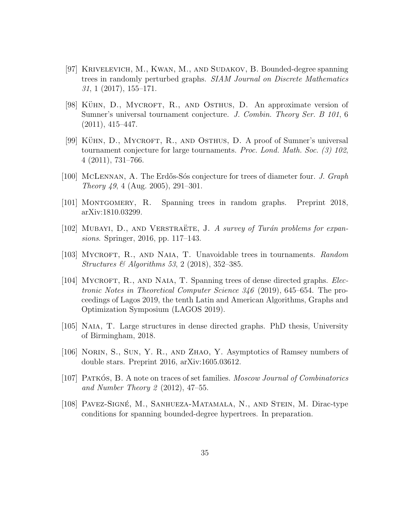- [97] Krivelevich, M., Kwan, M., and Sudakov, B. Bounded-degree spanning trees in randomly perturbed graphs. SIAM Journal on Discrete Mathematics 31, 1 (2017), 155–171.
- [98] KÜHN, D., MYCROFT, R., AND OSTHUS, D. An approximate version of Sumner's universal tournament conjecture. J. Combin. Theory Ser. B 101, 6 (2011), 415–447.
- $[99]$  KÜHN, D., MYCROFT, R., AND OSTHUS, D. A proof of Sumner's universal tournament conjecture for large tournaments. Proc. Lond. Math. Soc. (3) 102, 4 (2011), 731–766.
- [100] MCLENNAN, A. The Erdős-Sós conjecture for trees of diameter four. J. Graph Theory 49, 4 (Aug. 2005), 291–301.
- [101] Montgomery, R. Spanning trees in random graphs. Preprint 2018, arXiv:1810.03299.
- [102] MUBAYI, D., AND VERSTRAETE, J. A survey of Turán problems for expansions. Springer, 2016, pp. 117–143.
- [103] MYCROFT, R., AND NAIA, T. Unavoidable trees in tournaments. Random Structures & Algorithms 53, 2 (2018), 352–385.
- [104] MYCROFT, R., AND NAIA, T. Spanning trees of dense directed graphs. *Elec*tronic Notes in Theoretical Computer Science 346 (2019), 645–654. The proceedings of Lagos 2019, the tenth Latin and American Algorithms, Graphs and Optimization Symposium (LAGOS 2019).
- [105] Naia, T. Large structures in dense directed graphs. PhD thesis, University of Birmingham, 2018.
- [106] Norin, S., Sun, Y. R., and Zhao, Y. Asymptotics of Ramsey numbers of double stars. Preprint 2016, arXiv:1605.03612.
- [107] PATKOS, B. A note on traces of set families. Moscow Journal of Combinatorics and Number Theory 2 (2012), 47–55.
- [108] PAVEZ-SIGNÉ, M., SANHUEZA-MATAMALA, N., AND STEIN, M. Dirac-type conditions for spanning bounded-degree hypertrees. In preparation.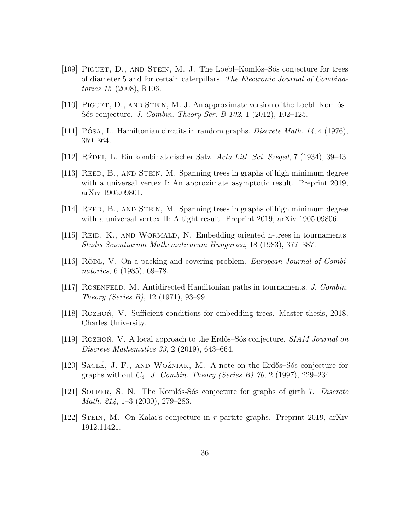- [109] PIGUET, D., AND STEIN, M. J. The Loebl–Komlós–Sós conjecture for trees of diameter 5 and for certain caterpillars. The Electronic Journal of Combinatorics 15 (2008), R106.
- [110] PIGUET,  $D$ ., AND STEIN, M. J. An approximate version of the Loebl–Komlós– Sós conjecture. *J. Combin. Theory Ser. B* 102, 1 (2012), 102–125.
- [111] POSA, L. Hamiltonian circuits in random graphs. *Discrete Math.* 14, 4 (1976), 359–364.
- [112] RÉDEI, L. Ein kombinatorischer Satz. Acta Litt. Sci. Szeged, 7 (1934), 39–43.
- [113] REED, B., AND STEIN, M. Spanning trees in graphs of high minimum degree with a universal vertex I: An approximate asymptotic result. Preprint 2019, arXiv 1905.09801.
- [114] REED, B., AND STEIN, M. Spanning trees in graphs of high minimum degree with a universal vertex II: A tight result. Preprint 2019, arXiv 1905.09806.
- [115] REID, K., AND WORMALD, N. Embedding oriented n-trees in tournaments. Studis Scientiarum Mathematicarum Hungarica, 18 (1983), 377–387.
- [116] RÖDL, V. On a packing and covering problem. European Journal of Combinatorics, 6 (1985), 69–78.
- [117] ROSENFELD, M. Antidirected Hamiltonian paths in tournaments. J. Combin. Theory (Series B), 12 (1971), 93–99.
- [118] ROZHON, V. Sufficient conditions for embedding trees. Master thesis, 2018, Charles University.
- [119] ROZHON, V. A local approach to the Erdős–Sós conjecture. SIAM Journal on Discrete Mathematics 33, 2 (2019), 643–664.
- [120] SACLÉ, J.-F., AND WOZNIAK, M. A note on the Erdős–Sós conjecture for graphs without  $C_4$ . J. Combin. Theory (Series B) 70, 2 (1997), 229–234.
- [121] SOFFER, S. N. The Komlós-Sós conjecture for graphs of girth 7. Discrete Math. 214, 1–3 (2000), 279–283.
- [122] Stein, M. On Kalai's conjecture in r-partite graphs. Preprint 2019, arXiv 1912.11421.